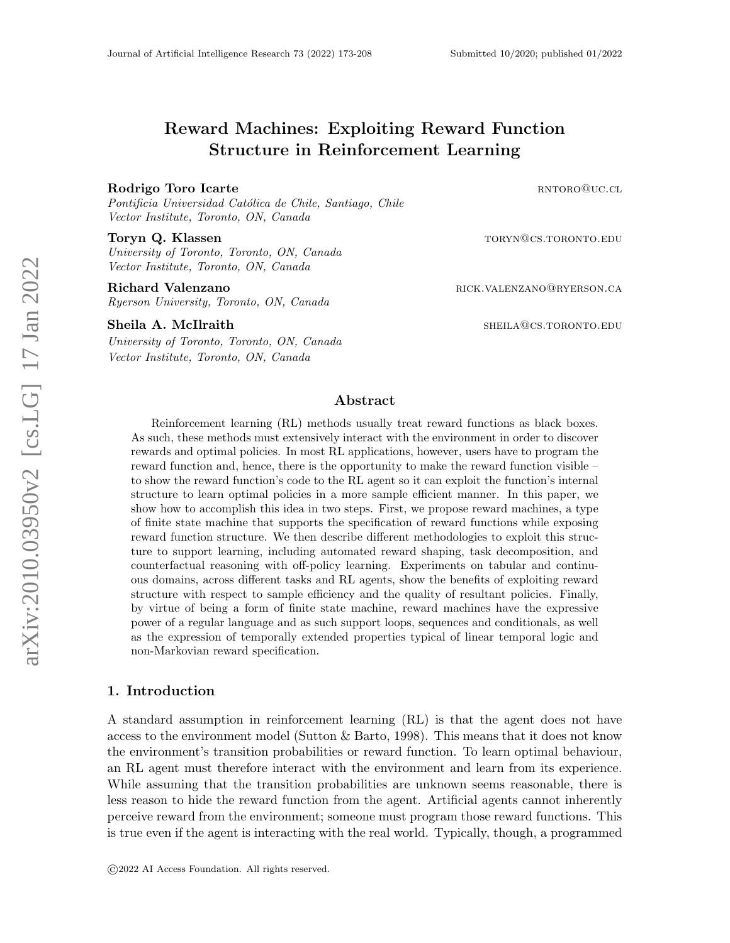# Reward Machines: Exploiting Reward Function Structure in Reinforcement Learning

#### Rodrigo Toro Icarte **rate** and the results of the results of the results of the results of the results of the results of the results of the results of the results of the results of the results of the results of the results

Pontificia Universidad Católica de Chile, Santiago, Chile Vector Institute, Toronto, ON, Canada

University of Toronto, Toronto, ON, Canada Vector Institute, Toronto, ON, Canada

Ryerson University, Toronto, ON, Canada

#### Sheila A. McIlraith sheiladh sheiladh sheiladh sheiladh sheiladh sheiladh sheiladh sheiladh sheiladh sheiladh she

University of Toronto, Toronto, ON, Canada Vector Institute, Toronto, ON, Canada

Toryn Q. Klassen to the contract of the contract of the contract of the contract of the contract of the contract of the contract of the contract of the contract of the contract of the contract of the contract of the contra

Richard Valenzano **Richard Valenzano richard Valenzano rick.valenzano@ryerson.ca** 

### Abstract

Reinforcement learning (RL) methods usually treat reward functions as black boxes. As such, these methods must extensively interact with the environment in order to discover rewards and optimal policies. In most RL applications, however, users have to program the reward function and, hence, there is the opportunity to make the reward function visible – to show the reward function's code to the RL agent so it can exploit the function's internal structure to learn optimal policies in a more sample efficient manner. In this paper, we show how to accomplish this idea in two steps. First, we propose reward machines, a type of finite state machine that supports the specification of reward functions while exposing reward function structure. We then describe different methodologies to exploit this structure to support learning, including automated reward shaping, task decomposition, and counterfactual reasoning with off-policy learning. Experiments on tabular and continuous domains, across different tasks and RL agents, show the benefits of exploiting reward structure with respect to sample efficiency and the quality of resultant policies. Finally, by virtue of being a form of finite state machine, reward machines have the expressive power of a regular language and as such support loops, sequences and conditionals, as well as the expression of temporally extended properties typical of linear temporal logic and non-Markovian reward specification.

### 1. Introduction

A standard assumption in reinforcement learning (RL) is that the agent does not have access to the environment model (Sutton & Barto, 1998). This means that it does not know the environment's transition probabilities or reward function. To learn optimal behaviour, an RL agent must therefore interact with the environment and learn from its experience. While assuming that the transition probabilities are unknown seems reasonable, there is less reason to hide the reward function from the agent. Artificial agents cannot inherently perceive reward from the environment; someone must program those reward functions. This is true even if the agent is interacting with the real world. Typically, though, a programmed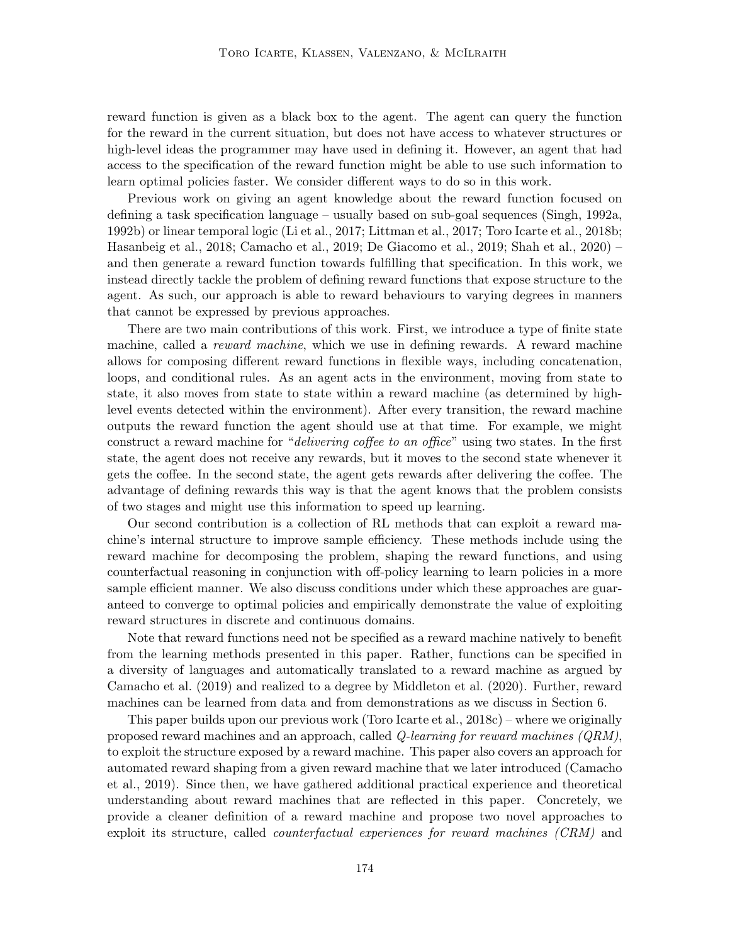reward function is given as a black box to the agent. The agent can query the function for the reward in the current situation, but does not have access to whatever structures or high-level ideas the programmer may have used in defining it. However, an agent that had access to the specification of the reward function might be able to use such information to learn optimal policies faster. We consider different ways to do so in this work.

Previous work on giving an agent knowledge about the reward function focused on defining a task specification language – usually based on sub-goal sequences (Singh, 1992a, 1992b) or linear temporal logic (Li et al., 2017; Littman et al., 2017; Toro Icarte et al., 2018b; Hasanbeig et al., 2018; Camacho et al., 2019; De Giacomo et al., 2019; Shah et al., 2020) – and then generate a reward function towards fulfilling that specification. In this work, we instead directly tackle the problem of defining reward functions that expose structure to the agent. As such, our approach is able to reward behaviours to varying degrees in manners that cannot be expressed by previous approaches.

There are two main contributions of this work. First, we introduce a type of finite state machine, called a *reward machine*, which we use in defining rewards. A reward machine allows for composing different reward functions in flexible ways, including concatenation, loops, and conditional rules. As an agent acts in the environment, moving from state to state, it also moves from state to state within a reward machine (as determined by highlevel events detected within the environment). After every transition, the reward machine outputs the reward function the agent should use at that time. For example, we might construct a reward machine for "delivering coffee to an office" using two states. In the first state, the agent does not receive any rewards, but it moves to the second state whenever it gets the coffee. In the second state, the agent gets rewards after delivering the coffee. The advantage of defining rewards this way is that the agent knows that the problem consists of two stages and might use this information to speed up learning.

Our second contribution is a collection of RL methods that can exploit a reward machine's internal structure to improve sample efficiency. These methods include using the reward machine for decomposing the problem, shaping the reward functions, and using counterfactual reasoning in conjunction with off-policy learning to learn policies in a more sample efficient manner. We also discuss conditions under which these approaches are guaranteed to converge to optimal policies and empirically demonstrate the value of exploiting reward structures in discrete and continuous domains.

Note that reward functions need not be specified as a reward machine natively to benefit from the learning methods presented in this paper. Rather, functions can be specified in a diversity of languages and automatically translated to a reward machine as argued by Camacho et al. (2019) and realized to a degree by Middleton et al. (2020). Further, reward machines can be learned from data and from demonstrations as we discuss in Section 6.

This paper builds upon our previous work (Toro Icarte et al., 2018c) – where we originally proposed reward machines and an approach, called Q-learning for reward machines (QRM), to exploit the structure exposed by a reward machine. This paper also covers an approach for automated reward shaping from a given reward machine that we later introduced (Camacho et al., 2019). Since then, we have gathered additional practical experience and theoretical understanding about reward machines that are reflected in this paper. Concretely, we provide a cleaner definition of a reward machine and propose two novel approaches to exploit its structure, called counterfactual experiences for reward machines (CRM) and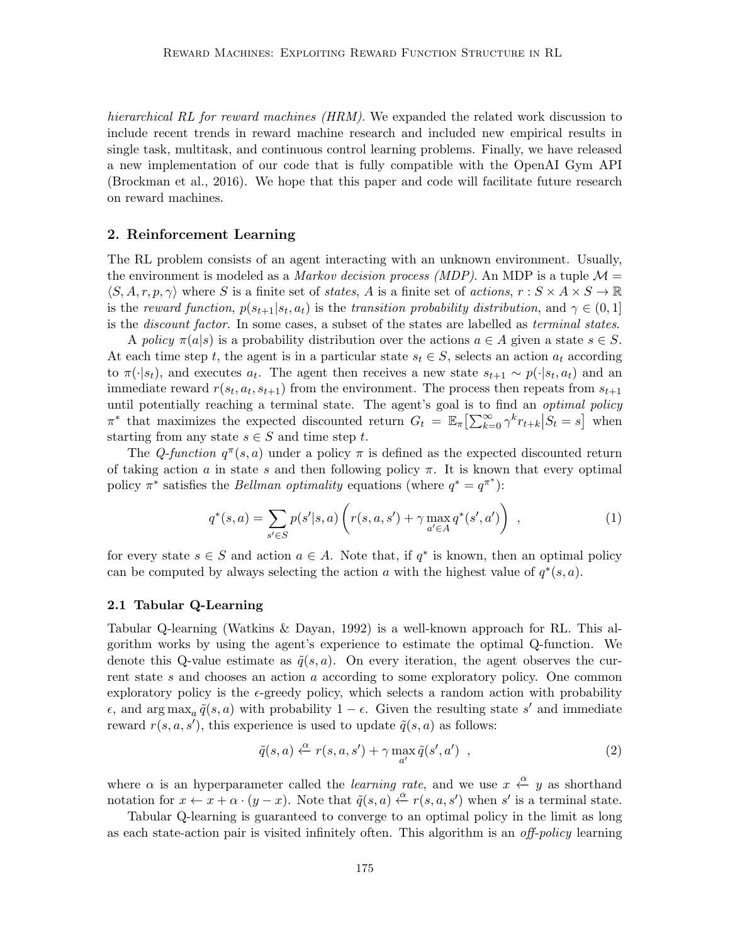hierarchical RL for reward machines (HRM). We expanded the related work discussion to include recent trends in reward machine research and included new empirical results in single task, multitask, and continuous control learning problems. Finally, we have released a new implementation of our code that is fully compatible with the OpenAI Gym API (Brockman et al., 2016). We hope that this paper and code will facilitate future research on reward machines.

# 2. Reinforcement Learning

The RL problem consists of an agent interacting with an unknown environment. Usually, the environment is modeled as a *Markov decision process (MDP)*. An MDP is a tuple  $\mathcal{M} =$  $\langle S, A, r, p, \gamma \rangle$  where S is a finite set of states, A is a finite set of actions,  $r : S \times A \times S \to \mathbb{R}$ is the reward function,  $p(s_{t+1}|s_t, a_t)$  is the transition probability distribution, and  $\gamma \in (0, 1]$ is the *discount factor*. In some cases, a subset of the states are labelled as *terminal states*.

A policy  $\pi(a|s)$  is a probability distribution over the actions  $a \in A$  given a state  $s \in S$ . At each time step t, the agent is in a particular state  $s_t \in S$ , selects an action  $a_t$  according to  $\pi(\cdot|s_t)$ , and executes  $a_t$ . The agent then receives a new state  $s_{t+1} \sim p(\cdot|s_t, a_t)$  and an immediate reward  $r(s_t, a_t, s_{t+1})$  from the environment. The process then repeats from  $s_{t+1}$ until potentially reaching a terminal state. The agent's goal is to find an *optimal policy*  $\pi^*$  that maximizes the expected discounted return  $G_t = \mathbb{E}_{\pi} \left[ \sum_{k=0}^{\infty} \gamma^k r_{t+k} \middle| S_t = s \right]$  when starting from any state  $s \in S$  and time step t.

The Q-function  $q^{\pi}(s, a)$  under a policy  $\pi$  is defined as the expected discounted return of taking action a in state s and then following policy  $\pi$ . It is known that every optimal policy  $\pi^*$  satisfies the *Bellman optimality* equations (where  $q^* = q^{\pi^*}$ ):

$$
q^*(s, a) = \sum_{s' \in S} p(s'|s, a) \left( r(s, a, s') + \gamma \max_{a' \in A} q^*(s', a') \right) , \qquad (1)
$$

for every state  $s \in S$  and action  $a \in A$ . Note that, if  $q^*$  is known, then an optimal policy can be computed by always selecting the action a with the highest value of  $q^*(s, a)$ .

### 2.1 Tabular Q-Learning

Tabular Q-learning (Watkins & Dayan, 1992) is a well-known approach for RL. This algorithm works by using the agent's experience to estimate the optimal Q-function. We denote this Q-value estimate as  $\tilde{q}(s, a)$ . On every iteration, the agent observes the current state s and chooses an action a according to some exploratory policy. One common exploratory policy is the  $\epsilon$ -greedy policy, which selects a random action with probability e, and  $\arg \max_a \tilde{q}(s, a)$  with probability  $1 - \epsilon$ . Given the resulting state s' and immediate reward  $r(s, a, s')$ , this experience is used to update  $\tilde{q}(s, a)$  as follows:

$$
\tilde{q}(s,a) \stackrel{\alpha}{\leftarrow} r(s,a,s') + \gamma \max_{a'} \tilde{q}(s',a') , \qquad (2)
$$

where  $\alpha$  is an hyperparameter called the *learning rate*, and we use  $x \stackrel{\alpha}{\leftarrow} y$  as shorthand notation for  $x \leftarrow x + \alpha \cdot (y - x)$ . Note that  $\tilde{q}(s, a) \stackrel{\alpha}{\leftarrow} r(s, a, s')$  when s' is a terminal state.

Tabular Q-learning is guaranteed to converge to an optimal policy in the limit as long as each state-action pair is visited infinitely often. This algorithm is an *off-policy* learning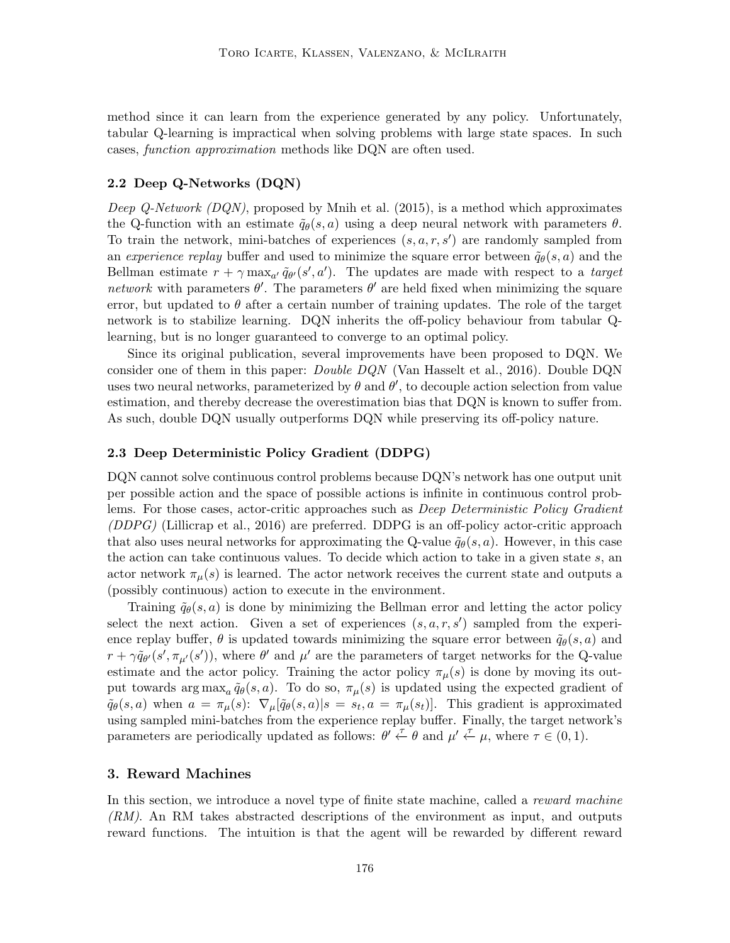method since it can learn from the experience generated by any policy. Unfortunately, tabular Q-learning is impractical when solving problems with large state spaces. In such cases, function approximation methods like DQN are often used.

# 2.2 Deep Q-Networks (DQN)

*Deep Q-Network (DQN)*, proposed by Mnih et al. (2015), is a method which approximates the Q-function with an estimate  $\tilde{q}_{\theta}(s, a)$  using a deep neural network with parameters  $\theta$ . To train the network, mini-batches of experiences  $(s, a, r, s')$  are randomly sampled from an experience replay buffer and used to minimize the square error between  $\tilde{q}_{\theta}(s, a)$  and the Bellman estimate  $r + \gamma \max_{a'} \tilde{q}_{\theta'}(s', a')$ . The updates are made with respect to a target network with parameters  $\theta'$ . The parameters  $\theta'$  are held fixed when minimizing the square error, but updated to  $\theta$  after a certain number of training updates. The role of the target network is to stabilize learning. DQN inherits the off-policy behaviour from tabular Qlearning, but is no longer guaranteed to converge to an optimal policy.

Since its original publication, several improvements have been proposed to DQN. We consider one of them in this paper: Double DQN (Van Hasselt et al., 2016). Double DQN uses two neural networks, parameterized by  $\theta$  and  $\theta'$ , to decouple action selection from value estimation, and thereby decrease the overestimation bias that DQN is known to suffer from. As such, double DQN usually outperforms DQN while preserving its off-policy nature.

#### 2.3 Deep Deterministic Policy Gradient (DDPG)

DQN cannot solve continuous control problems because DQN's network has one output unit per possible action and the space of possible actions is infinite in continuous control problems. For those cases, actor-critic approaches such as *Deep Deterministic Policy Gradient* (DDPG) (Lillicrap et al., 2016) are preferred. DDPG is an off-policy actor-critic approach that also uses neural networks for approximating the Q-value  $\tilde{q}_{\theta}(s, a)$ . However, in this case the action can take continuous values. To decide which action to take in a given state s, an actor network  $\pi_{\mu}(s)$  is learned. The actor network receives the current state and outputs a (possibly continuous) action to execute in the environment.

Training  $\tilde{q}_{\theta}(s, a)$  is done by minimizing the Bellman error and letting the actor policy select the next action. Given a set of experiences  $(s, a, r, s')$  sampled from the experience replay buffer,  $\theta$  is updated towards minimizing the square error between  $\tilde{q}_{\theta}(s, a)$  and  $r + \gamma \tilde{q}_{\theta'}(s', \pi_{\mu'}(s'))$ , where  $\theta'$  and  $\mu'$  are the parameters of target networks for the Q-value estimate and the actor policy. Training the actor policy  $\pi_{\mu}(s)$  is done by moving its output towards  $\arg \max_a \tilde{q}_{\theta}(s, a)$ . To do so,  $\pi_{\mu}(s)$  is updated using the expected gradient of  $\tilde{q}_{\theta}(s, a)$  when  $a = \pi_{\mu}(s)$ :  $\nabla_{\mu}[\tilde{q}_{\theta}(s, a)|s = s_t, a = \pi_{\mu}(s_t)].$  This gradient is approximated using sampled mini-batches from the experience replay buffer. Finally, the target network's parameters are periodically updated as follows:  $\theta' \stackrel{\tau}{\leftarrow} \theta$  and  $\mu' \stackrel{\tau}{\leftarrow} \mu$ , where  $\tau \in (0,1)$ .

#### 3. Reward Machines

In this section, we introduce a novel type of finite state machine, called a *reward machine* (RM). An RM takes abstracted descriptions of the environment as input, and outputs reward functions. The intuition is that the agent will be rewarded by different reward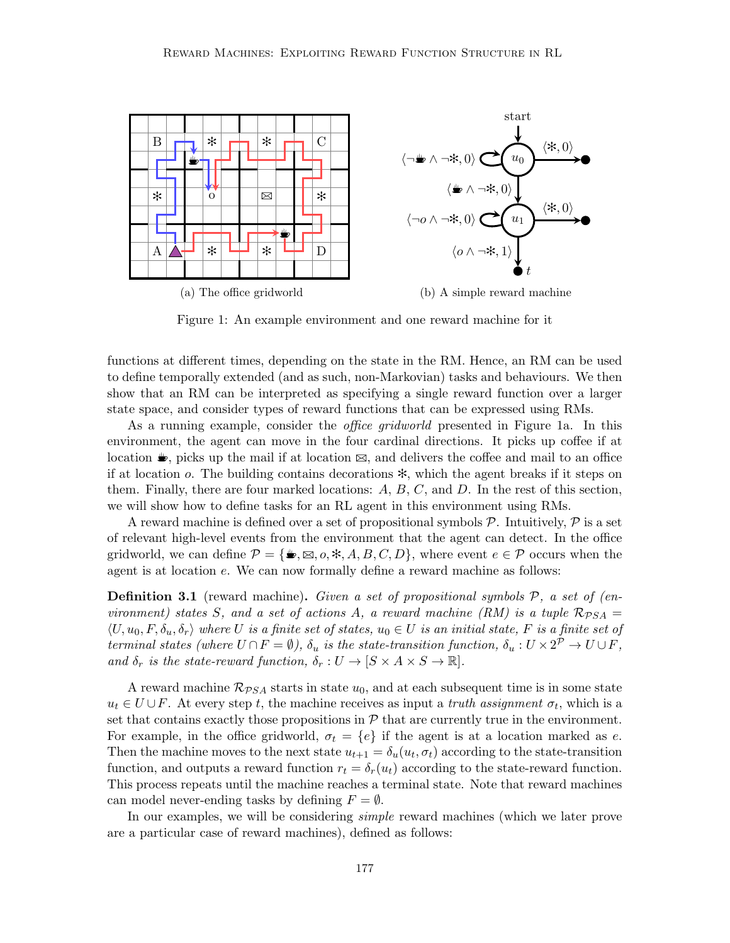

Figure 1: An example environment and one reward machine for it

functions at different times, depending on the state in the RM. Hence, an RM can be used to define temporally extended (and as such, non-Markovian) tasks and behaviours. We then show that an RM can be interpreted as specifying a single reward function over a larger state space, and consider types of reward functions that can be expressed using RMs.

As a running example, consider the office gridworld presented in Figure 1a. In this environment, the agent can move in the four cardinal directions. It picks up coffee if at location  $\blacktriangleright$ , picks up the mail if at location  $\boxtimes$ , and delivers the coffee and mail to an office if at location o. The building contains decorations ✻, which the agent breaks if it steps on them. Finally, there are four marked locations:  $A, B, C$ , and  $D$ . In the rest of this section, we will show how to define tasks for an RL agent in this environment using RMs.

A reward machine is defined over a set of propositional symbols  $P$ . Intuitively,  $P$  is a set of relevant high-level events from the environment that the agent can detect. In the office gridworld, we can define  $\mathcal{P} = \{\clubsuit, \boxtimes, o, *, A, B, C, D\}$ , where event  $e \in \mathcal{P}$  occurs when the agent is at location e. We can now formally define a reward machine as follows:

**Definition 3.1** (reward machine). Given a set of propositional symbols  $P$ , a set of (environment) states S, and a set of actions A, a reward machine (RM) is a tuple  $\mathcal{R}_{PSA} =$  $\langle U, u_0, F, \delta_u, \delta_r \rangle$  where U is a finite set of states,  $u_0 \in U$  is an initial state, F is a finite set of terminal states (where  $U \cap F = \emptyset$ ),  $\delta_u$  is the state-transition function,  $\delta_u : U \times 2^{\mathcal{P}} \to U \cup F$ , and  $\delta_r$  is the state-reward function,  $\delta_r : U \to [S \times A \times S \to \mathbb{R}]$ .

A reward machine  $\mathcal{R}_{PSA}$  starts in state  $u_0$ , and at each subsequent time is in some state  $u_t \in U \cup F$ . At every step t, the machine receives as input a truth assignment  $\sigma_t$ , which is a set that contains exactly those propositions in  $P$  that are currently true in the environment. For example, in the office gridworld,  $\sigma_t = \{e\}$  if the agent is at a location marked as e. Then the machine moves to the next state  $u_{t+1} = \delta_u(u_t, \sigma_t)$  according to the state-transition function, and outputs a reward function  $r_t = \delta_r(u_t)$  according to the state-reward function. This process repeats until the machine reaches a terminal state. Note that reward machines can model never-ending tasks by defining  $F = \emptyset$ .

In our examples, we will be considering simple reward machines (which we later prove are a particular case of reward machines), defined as follows: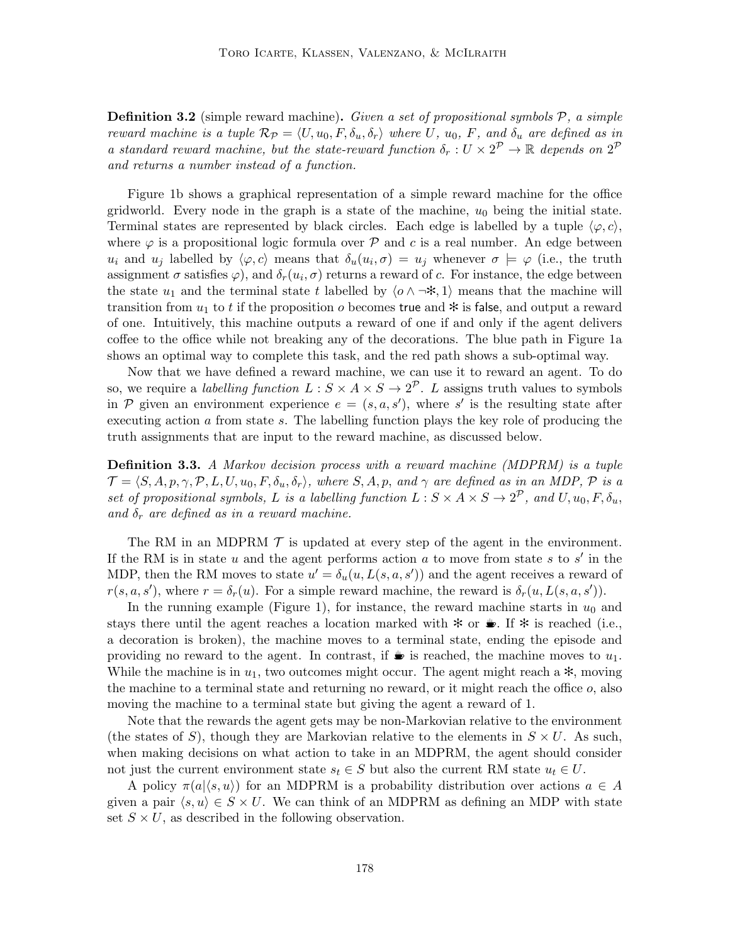**Definition 3.2** (simple reward machine). Given a set of propositional symbols  $P$ , a simple reward machine is a tuple  $\mathcal{R}_{\mathcal{P}} = \langle U, u_0, F, \delta_u, \delta_r \rangle$  where U,  $u_0, F,$  and  $\delta_u$  are defined as in a standard reward machine, but the state-reward function  $\delta_r : U \times 2^{\mathcal{P}} \to \mathbb{R}$  depends on  $2^{\mathcal{P}}$ and returns a number instead of a function.

Figure 1b shows a graphical representation of a simple reward machine for the office gridworld. Every node in the graph is a state of the machine,  $u_0$  being the initial state. Terminal states are represented by black circles. Each edge is labelled by a tuple  $\langle \varphi, c \rangle$ , where  $\varphi$  is a propositional logic formula over  $\mathcal P$  and c is a real number. An edge between  $u_i$  and  $u_j$  labelled by  $\langle \varphi, c \rangle$  means that  $\delta_u(u_i, \sigma) = u_j$  whenever  $\sigma \models \varphi$  (i.e., the truth assignment  $\sigma$  satisfies  $\varphi$ ), and  $\delta_r(u_i, \sigma)$  returns a reward of c. For instance, the edge between the state  $u_1$  and the terminal state t labelled by  $\langle o \wedge \neg * , 1 \rangle$  means that the machine will transition from  $u_1$  to t if the proposition o becomes true and  $*$  is false, and output a reward of one. Intuitively, this machine outputs a reward of one if and only if the agent delivers coffee to the office while not breaking any of the decorations. The blue path in Figure 1a shows an optimal way to complete this task, and the red path shows a sub-optimal way.

Now that we have defined a reward machine, we can use it to reward an agent. To do so, we require a *labelling function*  $L : S \times A \times S \to 2^{\mathcal{P}}$ . L assigns truth values to symbols in P given an environment experience  $e = (s, a, s')$ , where s' is the resulting state after executing action a from state s. The labelling function plays the key role of producing the truth assignments that are input to the reward machine, as discussed below.

**Definition 3.3.** A Markov decision process with a reward machine (MDPRM) is a tuple  $\mathcal{T} = \langle S, A, p, \gamma, \mathcal{P}, L, U, u_0, F, \delta_u, \delta_r \rangle$ , where  $S, A, p$ , and  $\gamma$  are defined as in an MDP,  $\mathcal{P}$  is a set of propositional symbols, L is a labelling function  $L : S \times A \times S \to 2^{\mathcal{P}}$ , and  $U, u_0, F, \delta_u$ , and  $\delta_r$  are defined as in a reward machine.

The RM in an MDPRM  $\mathcal T$  is updated at every step of the agent in the environment. If the RM is in state  $u$  and the agent performs action  $a$  to move from state  $s$  to  $s'$  in the MDP, then the RM moves to state  $u' = \delta_u(u, L(s, a, s'))$  and the agent receives a reward of  $r(s, a, s')$ , where  $r = \delta_r(u)$ . For a simple reward machine, the reward is  $\delta_r(u, L(s, a, s'))$ .

In the running example (Figure 1), for instance, the reward machine starts in  $u_0$  and stays there until the agent reaches a location marked with  $\ast$  or  $\ast$ . If  $\ast$  is reached (i.e., a decoration is broken), the machine moves to a terminal state, ending the episode and providing no reward to the agent. In contrast, if  $\bullet$  is reached, the machine moves to  $u_1$ . While the machine is in  $u_1$ , two outcomes might occur. The agent might reach a  $\ast$ , moving the machine to a terminal state and returning no reward, or it might reach the office o, also moving the machine to a terminal state but giving the agent a reward of 1.

Note that the rewards the agent gets may be non-Markovian relative to the environment (the states of S), though they are Markovian relative to the elements in  $S \times U$ . As such, when making decisions on what action to take in an MDPRM, the agent should consider not just the current environment state  $s_t \in S$  but also the current RM state  $u_t \in U$ .

A policy  $\pi(a|\langle s, u \rangle)$  for an MDPRM is a probability distribution over actions  $a \in A$ given a pair  $\langle s, u \rangle \in S \times U$ . We can think of an MDPRM as defining an MDP with state set  $S \times U$ , as described in the following observation.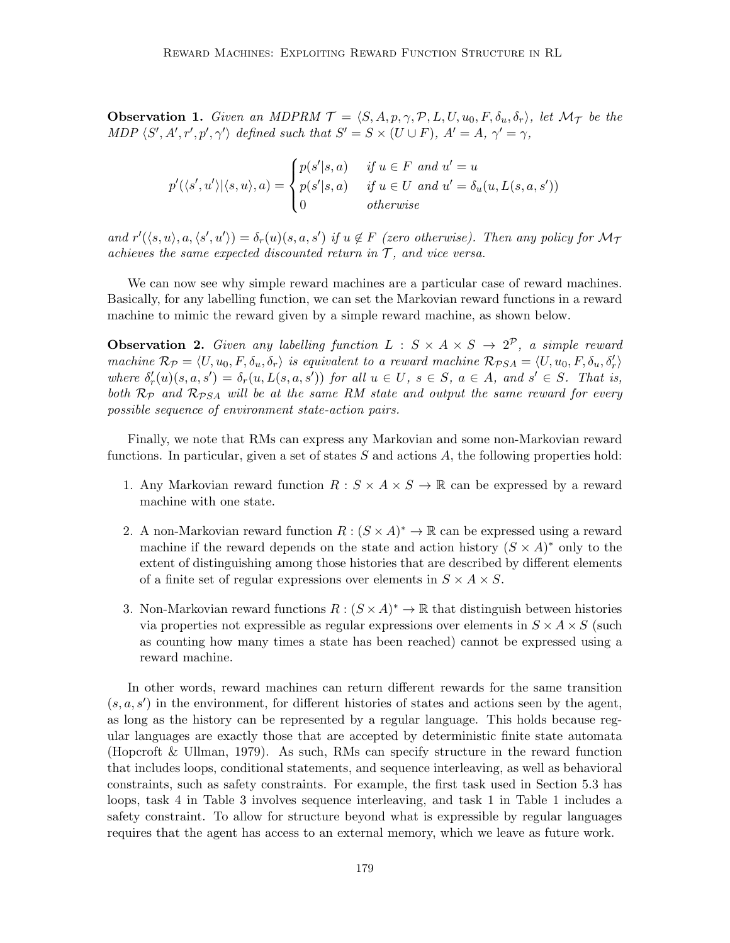**Observation 1.** Given an MDPRM  $\mathcal{T} = \langle S, A, p, \gamma, \mathcal{P}, L, U, u_0, F, \delta_u, \delta_r \rangle$ , let  $\mathcal{M}_{\mathcal{T}}$  be the MDP  $\langle S', A', r', p', \gamma' \rangle$  defined such that  $S' = S \times (U \cup F)$ ,  $A' = A$ ,  $\gamma' = \gamma$ ,

$$
p'(\langle s', u' \rangle | \langle s, u \rangle, a) = \begin{cases} p(s' | s, a) & \text{if } u \in F \text{ and } u' = u \\ p(s' | s, a) & \text{if } u \in U \text{ and } u' = \delta_u(u, L(s, a, s')) \\ 0 & \text{otherwise} \end{cases}
$$

and  $r'(\langle s, u \rangle, a, \langle s', u' \rangle) = \delta_r(u)(s, a, s')$  if  $u \notin F$  (zero otherwise). Then any policy for  $\mathcal{M}_{\mathcal{I}}$ achieves the same expected discounted return in  $\mathcal{T}$ , and vice versa.

We can now see why simple reward machines are a particular case of reward machines. Basically, for any labelling function, we can set the Markovian reward functions in a reward machine to mimic the reward given by a simple reward machine, as shown below.

**Observation 2.** Given any labelling function  $L : S \times A \times S \rightarrow 2^{\mathcal{P}}$ , a simple reward machine  $\mathcal{R}_{\mathcal{P}} = \langle U, u_0, F, \delta_u, \delta_r \rangle$  is equivalent to a reward machine  $\mathcal{R}_{\mathcal{P}SA} = \langle U, u_0, F, \delta_u, \delta'_r \rangle$ where  $\delta'_r(u)(s, a, s') = \delta_r(u, L(s, a, s'))$  for all  $u \in U$ ,  $s \in S$ ,  $a \in A$ , and  $s' \in S$ . That is, both  $\mathcal{R}_{\mathcal{P}}$  and  $\mathcal{R}_{\mathcal{P}SA}$  will be at the same RM state and output the same reward for every possible sequence of environment state-action pairs.

Finally, we note that RMs can express any Markovian and some non-Markovian reward functions. In particular, given a set of states  $S$  and actions  $A$ , the following properties hold:

- 1. Any Markovian reward function  $R : S \times A \times S \to \mathbb{R}$  can be expressed by a reward machine with one state.
- 2. A non-Markovian reward function  $R: (S \times A)^* \to \mathbb{R}$  can be expressed using a reward machine if the reward depends on the state and action history  $(S \times A)^*$  only to the extent of distinguishing among those histories that are described by different elements of a finite set of regular expressions over elements in  $S \times A \times S$ .
- 3. Non-Markovian reward functions  $R : (S \times A)^* \to \mathbb{R}$  that distinguish between histories via properties not expressible as regular expressions over elements in  $S \times A \times S$  (such as counting how many times a state has been reached) cannot be expressed using a reward machine.

In other words, reward machines can return different rewards for the same transition  $(s, a, s')$  in the environment, for different histories of states and actions seen by the agent, as long as the history can be represented by a regular language. This holds because regular languages are exactly those that are accepted by deterministic finite state automata (Hopcroft & Ullman, 1979). As such, RMs can specify structure in the reward function that includes loops, conditional statements, and sequence interleaving, as well as behavioral constraints, such as safety constraints. For example, the first task used in Section 5.3 has loops, task 4 in Table 3 involves sequence interleaving, and task 1 in Table 1 includes a safety constraint. To allow for structure beyond what is expressible by regular languages requires that the agent has access to an external memory, which we leave as future work.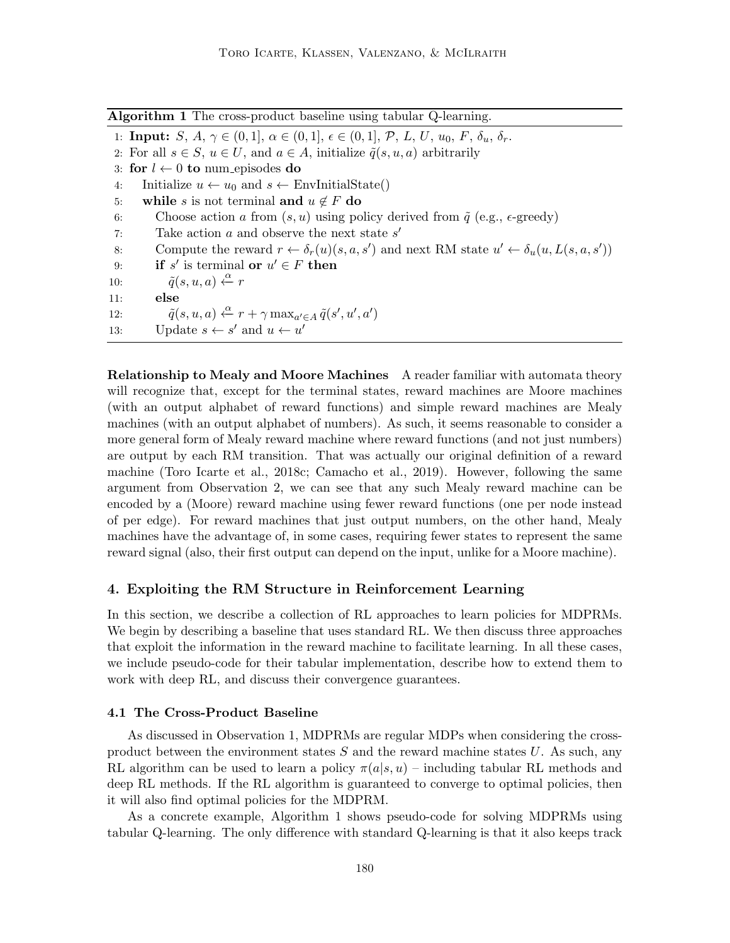|  | Algorithm 1 The cross-product baseline using tabular Q-learning. |  |  |  |
|--|------------------------------------------------------------------|--|--|--|
|--|------------------------------------------------------------------|--|--|--|

1: **Input:**  $S, A, \gamma \in (0, 1], \alpha \in (0, 1], \epsilon \in (0, 1], \mathcal{P}, L, U, u_0, F, \delta_u, \delta_r$ .

2: For all  $s \in S$ ,  $u \in U$ , and  $a \in A$ , initialize  $\tilde{q}(s, u, a)$  arbitrarily

3: for  $l \leftarrow 0$  to num episodes do

4: Initialize  $u \leftarrow u_0$  and  $s \leftarrow \text{EnvInitialState}()$ 

- 5: while s is not terminal and  $u \notin F$  do
- 6: Choose action a from  $(s, u)$  using policy derived from  $\tilde{q}$  (e.g.,  $\epsilon$ -greedy)
- 7: Take action  $a$  and observe the next state  $s'$
- 8: Compute the reward  $r \leftarrow \delta_r(u)(s, a, s')$  and next RM state  $u' \leftarrow \delta_u(u, L(s, a, s'))$
- 9: **if** s' is terminal **or**  $u' \in F$  then
- 10:  $\tilde{q}(s, u, a) \xleftarrow{\alpha} r$

11: else

12:  $\tilde{q}(s, u, a) \stackrel{\alpha}{\leftarrow} r + \gamma \max_{a' \in A} \tilde{q}(s', u', a')$ 

13: Update  $s \leftarrow s'$  and  $u \leftarrow u'$ 

Relationship to Mealy and Moore Machines A reader familiar with automata theory will recognize that, except for the terminal states, reward machines are Moore machines (with an output alphabet of reward functions) and simple reward machines are Mealy machines (with an output alphabet of numbers). As such, it seems reasonable to consider a more general form of Mealy reward machine where reward functions (and not just numbers) are output by each RM transition. That was actually our original definition of a reward machine (Toro Icarte et al., 2018c; Camacho et al., 2019). However, following the same argument from Observation 2, we can see that any such Mealy reward machine can be encoded by a (Moore) reward machine using fewer reward functions (one per node instead of per edge). For reward machines that just output numbers, on the other hand, Mealy machines have the advantage of, in some cases, requiring fewer states to represent the same reward signal (also, their first output can depend on the input, unlike for a Moore machine).

# 4. Exploiting the RM Structure in Reinforcement Learning

In this section, we describe a collection of RL approaches to learn policies for MDPRMs. We begin by describing a baseline that uses standard RL. We then discuss three approaches that exploit the information in the reward machine to facilitate learning. In all these cases, we include pseudo-code for their tabular implementation, describe how to extend them to work with deep RL, and discuss their convergence guarantees.

### 4.1 The Cross-Product Baseline

As discussed in Observation 1, MDPRMs are regular MDPs when considering the crossproduct between the environment states  $S$  and the reward machine states  $U$ . As such, any RL algorithm can be used to learn a policy  $\pi(a|s, u)$  – including tabular RL methods and deep RL methods. If the RL algorithm is guaranteed to converge to optimal policies, then it will also find optimal policies for the MDPRM.

As a concrete example, Algorithm 1 shows pseudo-code for solving MDPRMs using tabular Q-learning. The only difference with standard Q-learning is that it also keeps track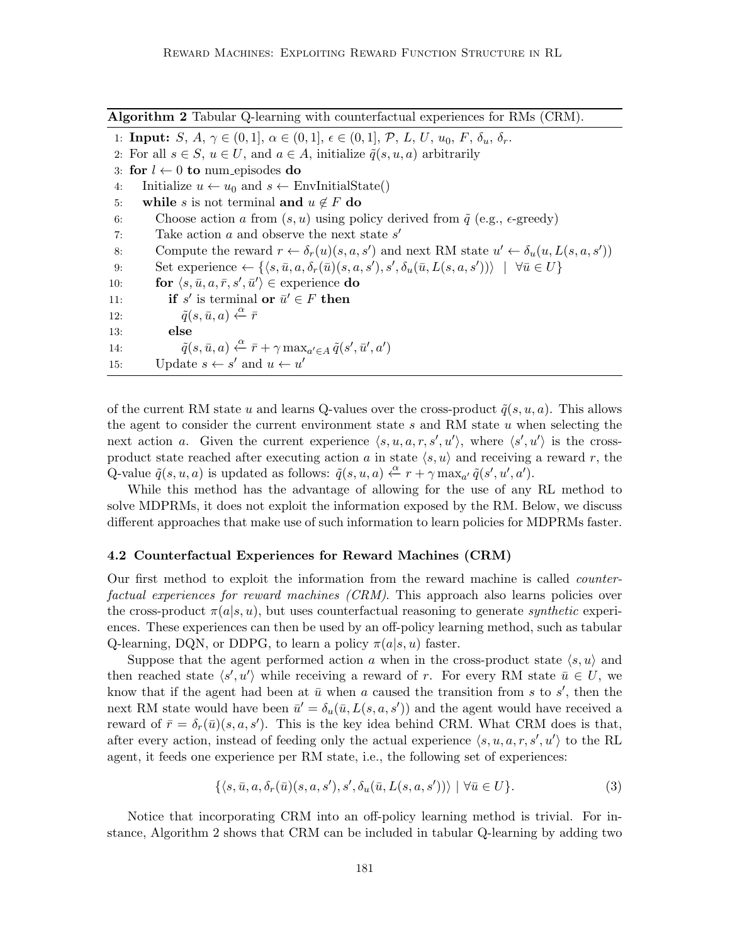Algorithm 2 Tabular Q-learning with counterfactual experiences for RMs (CRM).

1: **Input:**  $S, A, \gamma \in (0, 1], \alpha \in (0, 1], \epsilon \in (0, 1], \mathcal{P}, L, U, u_0, F, \delta_u, \delta_r$ . 2: For all  $s \in S$ ,  $u \in U$ , and  $a \in A$ , initialize  $\tilde{q}(s, u, a)$  arbitrarily 3: for  $l \leftarrow 0$  to num episodes do 4: Initialize  $u \leftarrow u_0$  and  $s \leftarrow \text{EnvInitialState}()$ 5: while s is not terminal and  $u \notin F$  do 6: Choose action a from  $(s, u)$  using policy derived from  $\tilde{q}$  (e.g.,  $\epsilon$ -greedy) 7: Take action  $a$  and observe the next state  $s'$ 8: Compute the reward  $r \leftarrow \delta_r(u)(s, a, s')$  and next RM state  $u' \leftarrow \delta_u(u, L(s, a, s'))$ 9: Set experience  $\leftarrow \{\langle s, \bar{u}, a, \delta_r(\bar{u})(s, a, s'), s', \delta_u(\bar{u}, L(s, a, s'))\rangle \mid \forall \bar{u} \in U\}$ 10: **for**  $\langle s, \bar{u}, a, \bar{r}, s', \bar{u}' \rangle \in$  experience **do** 11: **if** s' is terminal **or**  $\bar{u}' \in F$  **then** 12:  $\tilde{q}(s, \bar{u}, a) \stackrel{\alpha}{\leftarrow} \bar{r}$ 13: else 14:  $\tilde{q}(s, \bar{u}, a) \stackrel{\alpha}{\leftarrow} \bar{r} + \gamma \max_{a' \in A} \tilde{q}(s', \bar{u}', a')$ 15: Update  $s \leftarrow s'$  and  $u \leftarrow u'$ 

of the current RM state u and learns Q-values over the cross-product  $\tilde{q}(s, u, a)$ . This allows the agent to consider the current environment state  $s$  and RM state  $u$  when selecting the next action a. Given the current experience  $\langle s, u, a, r, s', u' \rangle$ , where  $\langle s', u' \rangle$  is the crossproduct state reached after executing action a in state  $\langle s, u \rangle$  and receiving a reward r, the Q-value  $\tilde{q}(s, u, a)$  is updated as follows:  $\tilde{q}(s, u, a) \stackrel{\alpha}{\leftarrow} r + \gamma \max_{a'} \tilde{q}(s', u', a')$ .

While this method has the advantage of allowing for the use of any RL method to solve MDPRMs, it does not exploit the information exposed by the RM. Below, we discuss different approaches that make use of such information to learn policies for MDPRMs faster.

#### 4.2 Counterfactual Experiences for Reward Machines (CRM)

Our first method to exploit the information from the reward machine is called counterfactual experiences for reward machines (CRM). This approach also learns policies over the cross-product  $\pi(a|s, u)$ , but uses counterfactual reasoning to generate synthetic experiences. These experiences can then be used by an off-policy learning method, such as tabular Q-learning, DQN, or DDPG, to learn a policy  $\pi(a|s, u)$  faster.

Suppose that the agent performed action a when in the cross-product state  $\langle s, u \rangle$  and then reached state  $\langle s', u' \rangle$  while receiving a reward of r. For every RM state  $\bar{u} \in U$ , we know that if the agent had been at  $\bar{u}$  when a caused the transition from s to s', then the next RM state would have been  $\bar{u}' = \delta_u(\bar{u}, L(s, a, s'))$  and the agent would have received a reward of  $\bar{r} = \delta_r(\bar{u})(s, a, s')$ . This is the key idea behind CRM. What CRM does is that, after every action, instead of feeding only the actual experience  $\langle s, u, a, r, s', u' \rangle$  to the RL agent, it feeds one experience per RM state, i.e., the following set of experiences:

$$
\{\langle s,\bar{u},a,\delta_r(\bar{u})(s,a,s'),s',\delta_u(\bar{u},L(s,a,s'))\rangle \mid \forall \bar{u}\in U\}.
$$
 (3)

Notice that incorporating CRM into an off-policy learning method is trivial. For instance, Algorithm 2 shows that CRM can be included in tabular Q-learning by adding two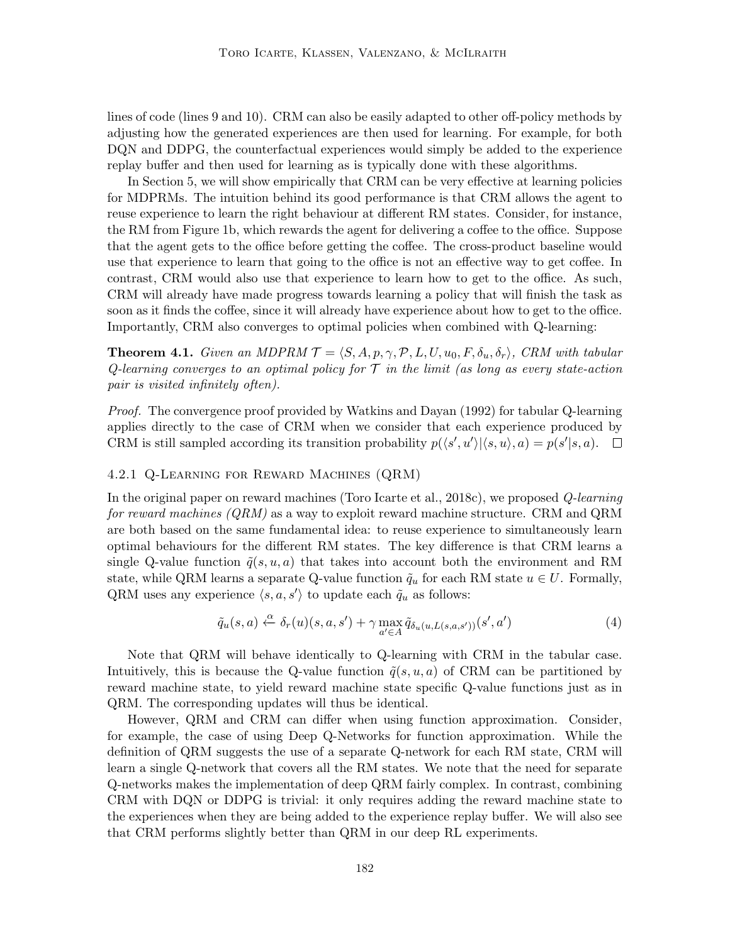lines of code (lines 9 and 10). CRM can also be easily adapted to other off-policy methods by adjusting how the generated experiences are then used for learning. For example, for both DQN and DDPG, the counterfactual experiences would simply be added to the experience replay buffer and then used for learning as is typically done with these algorithms.

In Section 5, we will show empirically that CRM can be very effective at learning policies for MDPRMs. The intuition behind its good performance is that CRM allows the agent to reuse experience to learn the right behaviour at different RM states. Consider, for instance, the RM from Figure 1b, which rewards the agent for delivering a coffee to the office. Suppose that the agent gets to the office before getting the coffee. The cross-product baseline would use that experience to learn that going to the office is not an effective way to get coffee. In contrast, CRM would also use that experience to learn how to get to the office. As such, CRM will already have made progress towards learning a policy that will finish the task as soon as it finds the coffee, since it will already have experience about how to get to the office. Importantly, CRM also converges to optimal policies when combined with Q-learning:

**Theorem 4.1.** Given an MDPRM  $\mathcal{T} = \langle S, A, p, \gamma, \mathcal{P}, L, U, u_0, F, \delta_u, \delta_r \rangle$ , CRM with tabular Q-learning converges to an optimal policy for  $\mathcal T$  in the limit (as long as every state-action pair is visited infinitely often).

Proof. The convergence proof provided by Watkins and Dayan (1992) for tabular Q-learning applies directly to the case of CRM when we consider that each experience produced by CRM is still sampled according its transition probability  $p(\langle s', u' \rangle | \langle s, u \rangle, a) = p(s' | s, a)$ .

#### 4.2.1 Q-Learning for Reward Machines (QRM)

In the original paper on reward machines (Toro Icarte et al., 2018c), we proposed Q-learning for reward machines  $(QRM)$  as a way to exploit reward machine structure. CRM and QRM are both based on the same fundamental idea: to reuse experience to simultaneously learn optimal behaviours for the different RM states. The key difference is that CRM learns a single Q-value function  $\tilde{q}(s, u, a)$  that takes into account both the environment and RM state, while QRM learns a separate Q-value function  $\tilde{q}_u$  for each RM state  $u \in U$ . Formally, QRM uses any experience  $\langle s, a, s' \rangle$  to update each  $\tilde{q}_u$  as follows:

$$
\tilde{q}_u(s,a) \xleftarrow{\alpha} \delta_r(u)(s,a,s') + \gamma \max_{a' \in A} \tilde{q}_{\delta_u(u,L(s,a,s'))}(s',a')
$$
\n(4)

Note that QRM will behave identically to Q-learning with CRM in the tabular case. Intuitively, this is because the Q-value function  $\tilde{q}(s, u, a)$  of CRM can be partitioned by reward machine state, to yield reward machine state specific Q-value functions just as in QRM. The corresponding updates will thus be identical.

However, QRM and CRM can differ when using function approximation. Consider, for example, the case of using Deep Q-Networks for function approximation. While the definition of QRM suggests the use of a separate Q-network for each RM state, CRM will learn a single Q-network that covers all the RM states. We note that the need for separate Q-networks makes the implementation of deep QRM fairly complex. In contrast, combining CRM with DQN or DDPG is trivial: it only requires adding the reward machine state to the experiences when they are being added to the experience replay buffer. We will also see that CRM performs slightly better than QRM in our deep RL experiments.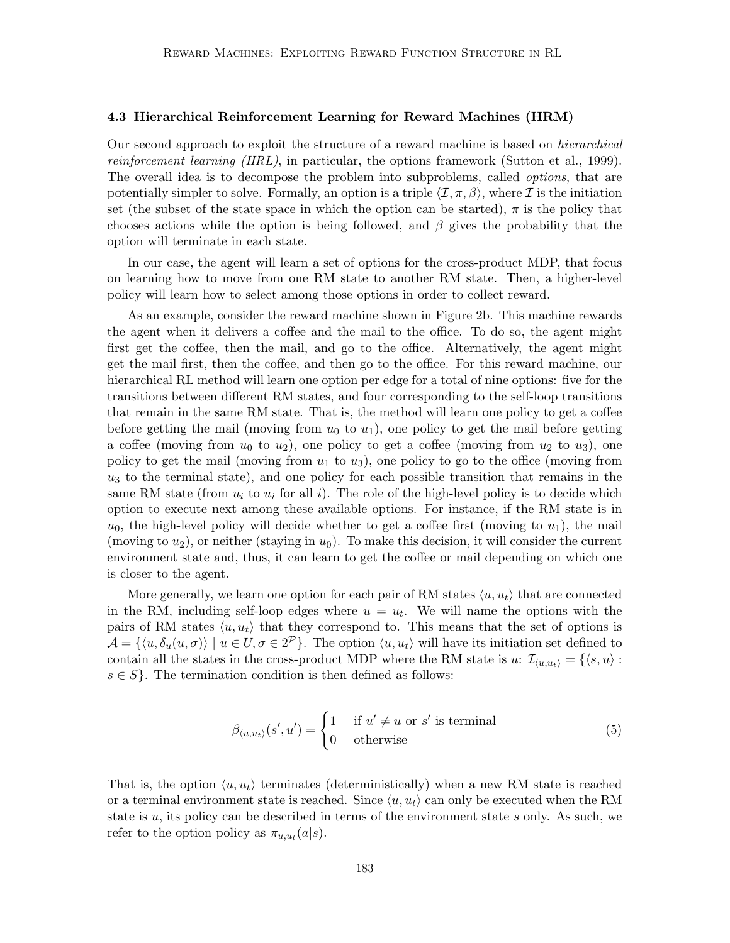#### 4.3 Hierarchical Reinforcement Learning for Reward Machines (HRM)

Our second approach to exploit the structure of a reward machine is based on hierarchical reinforcement learning (HRL), in particular, the options framework (Sutton et al., 1999). The overall idea is to decompose the problem into subproblems, called *options*, that are potentially simpler to solve. Formally, an option is a triple  $\langle \mathcal{I}, \pi, \beta \rangle$ , where I is the initiation set (the subset of the state space in which the option can be started),  $\pi$  is the policy that chooses actions while the option is being followed, and  $\beta$  gives the probability that the option will terminate in each state.

In our case, the agent will learn a set of options for the cross-product MDP, that focus on learning how to move from one RM state to another RM state. Then, a higher-level policy will learn how to select among those options in order to collect reward.

As an example, consider the reward machine shown in Figure 2b. This machine rewards the agent when it delivers a coffee and the mail to the office. To do so, the agent might first get the coffee, then the mail, and go to the office. Alternatively, the agent might get the mail first, then the coffee, and then go to the office. For this reward machine, our hierarchical RL method will learn one option per edge for a total of nine options: five for the transitions between different RM states, and four corresponding to the self-loop transitions that remain in the same RM state. That is, the method will learn one policy to get a coffee before getting the mail (moving from  $u_0$  to  $u_1$ ), one policy to get the mail before getting a coffee (moving from  $u_0$  to  $u_2$ ), one policy to get a coffee (moving from  $u_2$  to  $u_3$ ), one policy to get the mail (moving from  $u_1$  to  $u_3$ ), one policy to go to the office (moving from  $u_3$  to the terminal state), and one policy for each possible transition that remains in the same RM state (from  $u_i$  to  $u_i$  for all i). The role of the high-level policy is to decide which option to execute next among these available options. For instance, if the RM state is in  $u_0$ , the high-level policy will decide whether to get a coffee first (moving to  $u_1$ ), the mail (moving to  $u_2$ ), or neither (staying in  $u_0$ ). To make this decision, it will consider the current environment state and, thus, it can learn to get the coffee or mail depending on which one is closer to the agent.

More generally, we learn one option for each pair of RM states  $\langle u, u_t \rangle$  that are connected in the RM, including self-loop edges where  $u = u_t$ . We will name the options with the pairs of RM states  $\langle u, u_t \rangle$  that they correspond to. This means that the set of options is  $\mathcal{A} = \{ \langle u, \delta_u(u, \sigma) \rangle \mid u \in U, \sigma \in 2^{\mathcal{P}} \}.$  The option  $\langle u, u_t \rangle$  will have its initiation set defined to contain all the states in the cross-product MDP where the RM state is u:  $\mathcal{I}_{\langle u, u_t \rangle} = \{\langle s, u \rangle :$  $s \in S$ . The termination condition is then defined as follows:

$$
\beta_{\langle u, u_t \rangle}(s', u') = \begin{cases} 1 & \text{if } u' \neq u \text{ or } s' \text{ is terminal} \\ 0 & \text{otherwise} \end{cases}
$$
(5)

That is, the option  $\langle u, u_t \rangle$  terminates (deterministically) when a new RM state is reached or a terminal environment state is reached. Since  $\langle u, u_t \rangle$  can only be executed when the RM state is  $u$ , its policy can be described in terms of the environment state  $s$  only. As such, we refer to the option policy as  $\pi_{u, u_t}(a|s)$ .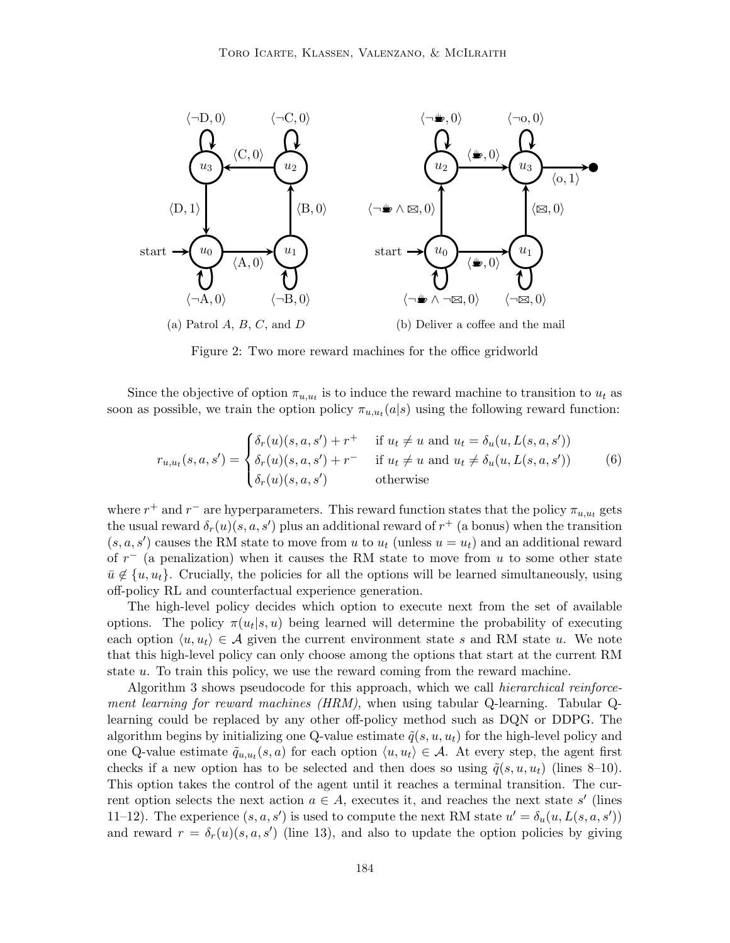

Figure 2: Two more reward machines for the office gridworld

Since the objective of option  $\pi_{u,u_t}$  is to induce the reward machine to transition to  $u_t$  as soon as possible, we train the option policy  $\pi_{u,u_t}(a|s)$  using the following reward function:

$$
r_{u,u_t}(s,a,s') = \begin{cases} \delta_r(u)(s,a,s') + r^+ & \text{if } u_t \neq u \text{ and } u_t = \delta_u(u,L(s,a,s'))\\ \delta_r(u)(s,a,s') + r^- & \text{if } u_t \neq u \text{ and } u_t \neq \delta_u(u,L(s,a,s'))\\ \delta_r(u)(s,a,s') & \text{otherwise} \end{cases}
$$
(6)

where  $r^+$  and  $r^-$  are hyperparameters. This reward function states that the policy  $\pi_{u,u_t}$  gets the usual reward  $\delta_r(u)(s, a, s')$  plus an additional reward of  $r^+$  (a bonus) when the transition  $(s, a, s')$  causes the RM state to move from u to  $u_t$  (unless  $u = u_t$ ) and an additional reward of  $r^-$  (a penalization) when it causes the RM state to move from u to some other state  $\bar{u} \notin \{u, u_t\}.$  Crucially, the policies for all the options will be learned simultaneously, using off-policy RL and counterfactual experience generation.

The high-level policy decides which option to execute next from the set of available options. The policy  $\pi(u_t|s, u)$  being learned will determine the probability of executing each option  $\langle u, u_t \rangle \in \mathcal{A}$  given the current environment state s and RM state u. We note that this high-level policy can only choose among the options that start at the current RM state u. To train this policy, we use the reward coming from the reward machine.

Algorithm 3 shows pseudocode for this approach, which we call hierarchical reinforcement learning for reward machines (HRM), when using tabular Q-learning. Tabular Qlearning could be replaced by any other off-policy method such as DQN or DDPG. The algorithm begins by initializing one Q-value estimate  $\tilde{q}(s, u, u_t)$  for the high-level policy and one Q-value estimate  $\tilde{q}_{u,u_t}(s, a)$  for each option  $\langle u, u_t \rangle \in \mathcal{A}$ . At every step, the agent first checks if a new option has to be selected and then does so using  $\tilde{q}(s, u, u_t)$  (lines 8–10). This option takes the control of the agent until it reaches a terminal transition. The current option selects the next action  $a \in A$ , executes it, and reaches the next state s' (lines 11–12). The experience  $(s, a, s')$  is used to compute the next RM state  $u' = \delta_u(u, L(s, a, s'))$ and reward  $r = \delta_r(u)(s, a, s')$  (line 13), and also to update the option policies by giving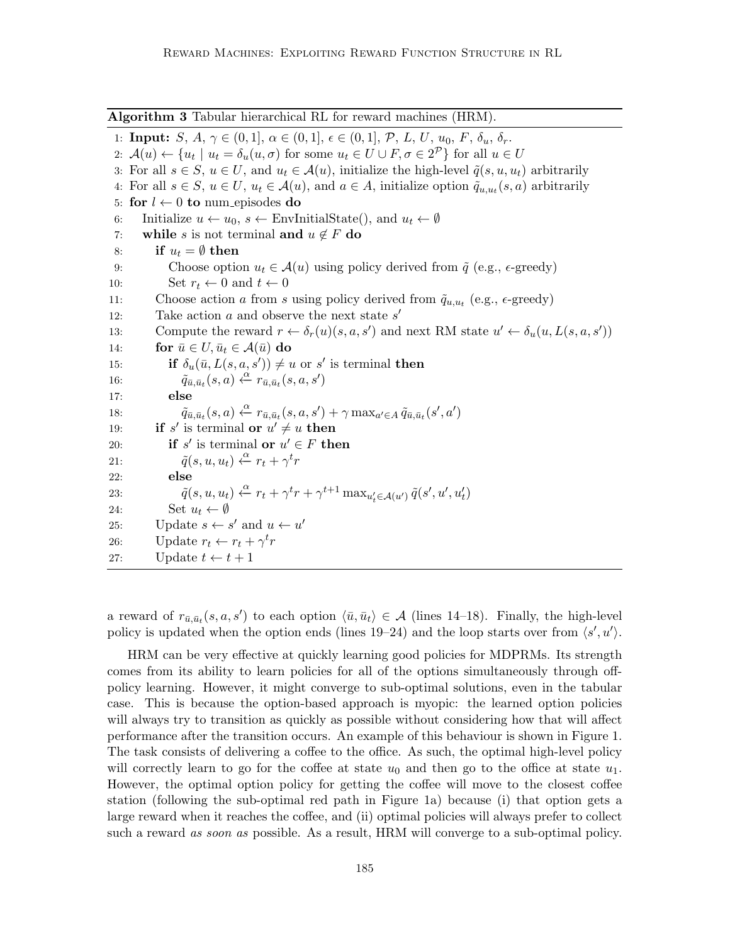1: **Input:**  $S, A, \gamma \in (0, 1], \alpha \in (0, 1], \epsilon \in (0, 1], \mathcal{P}, L, U, u_0, F, \delta_u, \delta_r$ . 2:  $\mathcal{A}(u) \leftarrow \{u_t \mid u_t = \delta_u(u, \sigma) \text{ for some } u_t \in U \cup F, \sigma \in 2^{\mathcal{P}}\}\)$  for all  $u \in U$ 3: For all  $s \in S$ ,  $u \in U$ , and  $u_t \in \mathcal{A}(u)$ , initialize the high-level  $\tilde{q}(s, u, u_t)$  arbitrarily 4: For all  $s \in S$ ,  $u \in U$ ,  $u_t \in \mathcal{A}(u)$ , and  $a \in A$ , initialize option  $\tilde{q}_{u,u_t}(s,a)$  arbitrarily 5: for  $l \leftarrow 0$  to num episodes do 6: Initialize  $u \leftarrow u_0$ ,  $s \leftarrow \text{EnvInitialState}()$ , and  $u_t \leftarrow \emptyset$ 7: while s is not terminal and  $u \notin F$  do 8: if  $u_t = \emptyset$  then 9: Choose option  $u_t \in \mathcal{A}(u)$  using policy derived from  $\tilde{q}$  (e.g.,  $\epsilon$ -greedy) 10: Set  $r_t \leftarrow 0$  and  $t \leftarrow 0$ 11: Choose action a from s using policy derived from  $\tilde{q}_{u, u_t}$  (e.g.,  $\epsilon$ -greedy) 12: Take action  $a$  and observe the next state  $s'$ 13: Compute the reward  $r \leftarrow \delta_r(u)(s, a, s')$  and next RM state  $u' \leftarrow \delta_u(u, L(s, a, s'))$ 14: for  $\bar{u} \in U, \bar{u}_t \in \mathcal{A}(\bar{u})$  do 15: **if**  $\delta_u(\bar{u}, L(s, a, s')) \neq u$  or s' is terminal **then** 16:  $\tilde{q}_{\bar{u},\bar{u}_t}(s,a) \xleftarrow{\alpha} r_{\bar{u},\bar{u}_t}(s,a,s')$ 17: else 18:  $\tilde{q}_{\bar{u},\bar{u}_t}(s,a) \xleftarrow{\alpha} r_{\bar{u},\bar{u}_t}(s,a,s') + \gamma \max_{a' \in A} \tilde{q}_{\bar{u},\bar{u}_t}(s',a')$ 19: **if** s' is terminal **or**  $u' \neq u$  **then** 20: **if** s' is terminal **or**  $u' \in F$  then 21:  $\tilde{q}(s, u, u_t) \stackrel{\alpha}{\leftarrow} r_t + \gamma^t r$ 22: else 23:  $\tilde{q}(s, u, u_t) \xleftarrow{\alpha} r_t + \gamma^t r + \gamma^{t+1} \max_{u'_t \in \mathcal{A}(u')} \tilde{q}(s', u', u'_t)$ 24: Set  $u_t \leftarrow \emptyset$ 25: Update  $s \leftarrow s'$  and  $u \leftarrow u'$ 26: Update  $r_t \leftarrow r_t + \gamma^t r$ 27: Update  $t \leftarrow t + 1$ 

Algorithm 3 Tabular hierarchical RL for reward machines (HRM).

a reward of  $r_{\bar{u},\bar{u}_t}(s, a, s')$  to each option  $\langle \bar{u}, \bar{u}_t \rangle \in \mathcal{A}$  (lines 14–18). Finally, the high-level policy is updated when the option ends (lines 19–24) and the loop starts over from  $\langle s', u' \rangle$ .

HRM can be very effective at quickly learning good policies for MDPRMs. Its strength comes from its ability to learn policies for all of the options simultaneously through offpolicy learning. However, it might converge to sub-optimal solutions, even in the tabular case. This is because the option-based approach is myopic: the learned option policies will always try to transition as quickly as possible without considering how that will affect performance after the transition occurs. An example of this behaviour is shown in Figure 1. The task consists of delivering a coffee to the office. As such, the optimal high-level policy will correctly learn to go for the coffee at state  $u_0$  and then go to the office at state  $u_1$ . However, the optimal option policy for getting the coffee will move to the closest coffee station (following the sub-optimal red path in Figure 1a) because (i) that option gets a large reward when it reaches the coffee, and (ii) optimal policies will always prefer to collect such a reward *as soon as* possible. As a result, HRM will converge to a sub-optimal policy.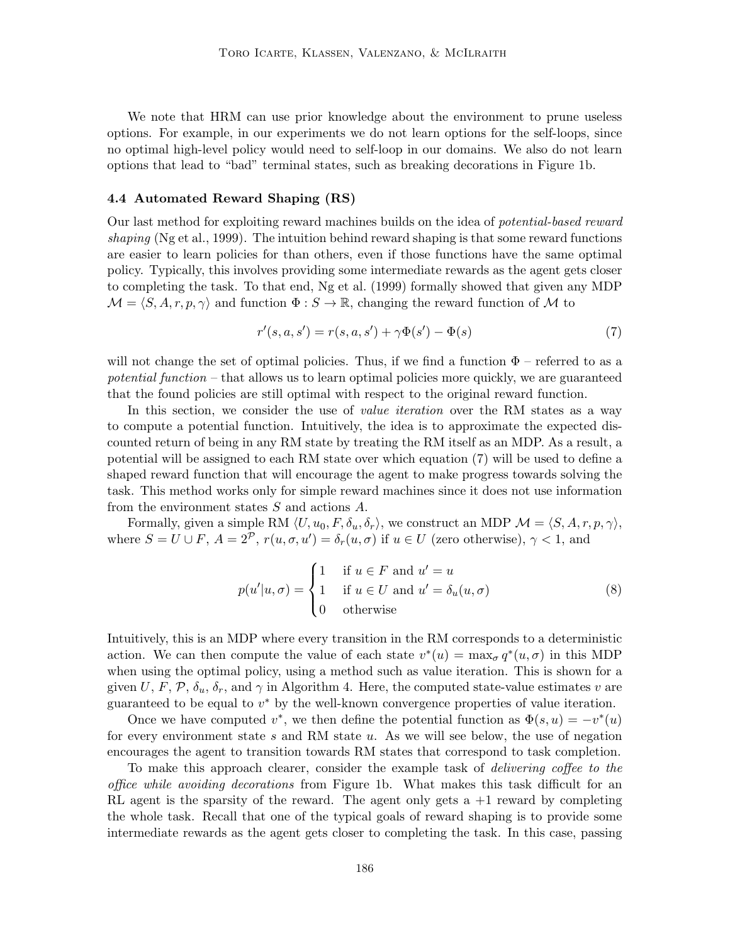We note that HRM can use prior knowledge about the environment to prune useless options. For example, in our experiments we do not learn options for the self-loops, since no optimal high-level policy would need to self-loop in our domains. We also do not learn options that lead to "bad" terminal states, such as breaking decorations in Figure 1b.

#### 4.4 Automated Reward Shaping (RS)

Our last method for exploiting reward machines builds on the idea of potential-based reward shaping (Ng et al., 1999). The intuition behind reward shaping is that some reward functions are easier to learn policies for than others, even if those functions have the same optimal policy. Typically, this involves providing some intermediate rewards as the agent gets closer to completing the task. To that end, Ng et al. (1999) formally showed that given any MDP  $\mathcal{M} = \langle S, A, r, p, \gamma \rangle$  and function  $\Phi : S \to \mathbb{R}$ , changing the reward function of M to

$$
r'(s, a, s') = r(s, a, s') + \gamma \Phi(s') - \Phi(s)
$$
\n(7)

will not change the set of optimal policies. Thus, if we find a function  $\Phi$  – referred to as a potential function – that allows us to learn optimal policies more quickly, we are guaranteed that the found policies are still optimal with respect to the original reward function.

In this section, we consider the use of *value iteration* over the RM states as a way to compute a potential function. Intuitively, the idea is to approximate the expected discounted return of being in any RM state by treating the RM itself as an MDP. As a result, a potential will be assigned to each RM state over which equation (7) will be used to define a shaped reward function that will encourage the agent to make progress towards solving the task. This method works only for simple reward machines since it does not use information from the environment states S and actions A.

Formally, given a simple RM  $\langle U, u_0, F, \delta_u, \delta_r \rangle$ , we construct an MDP  $\mathcal{M} = \langle S, A, r, p, \gamma \rangle$ , where  $S = U \cup F$ ,  $A = 2^{\mathcal{P}}$ ,  $r(u, \sigma, u') = \delta_r(u, \sigma)$  if  $u \in U$  (zero otherwise),  $\gamma < 1$ , and

$$
p(u'|u,\sigma) = \begin{cases} 1 & \text{if } u \in F \text{ and } u' = u \\ 1 & \text{if } u \in U \text{ and } u' = \delta_u(u,\sigma) \\ 0 & \text{otherwise} \end{cases}
$$
(8)

Intuitively, this is an MDP where every transition in the RM corresponds to a deterministic action. We can then compute the value of each state  $v^*(u) = \max_{\sigma} q^*(u, \sigma)$  in this MDP when using the optimal policy, using a method such as value iteration. This is shown for a given U, F, P,  $\delta_u$ ,  $\delta_r$ , and  $\gamma$  in Algorithm 4. Here, the computed state-value estimates v are guaranteed to be equal to  $v^*$  by the well-known convergence properties of value iteration.

Once we have computed  $v^*$ , we then define the potential function as  $\Phi(s, u) = -v^*(u)$ for every environment state s and RM state  $u$ . As we will see below, the use of negation encourages the agent to transition towards RM states that correspond to task completion.

To make this approach clearer, consider the example task of delivering coffee to the office while avoiding decorations from Figure 1b. What makes this task difficult for an RL agent is the sparsity of the reward. The agent only gets  $a + 1$  reward by completing the whole task. Recall that one of the typical goals of reward shaping is to provide some intermediate rewards as the agent gets closer to completing the task. In this case, passing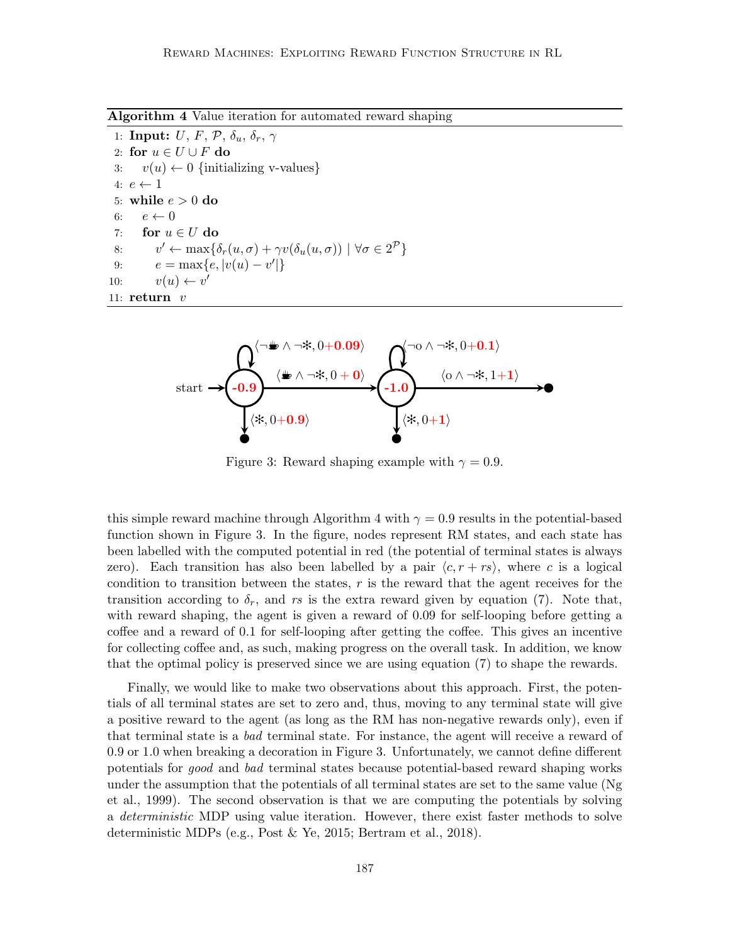Algorithm 4 Value iteration for automated reward shaping

1: Input:  $U, F, P, \delta_u, \delta_r, \gamma$ 2: for  $u \in U \cup F$  do 3:  $v(u) \leftarrow 0$  {initializing v-values} 4:  $e \leftarrow 1$ 5: while  $e > 0$  do 6:  $e \leftarrow 0$ 7: for  $u \in U$  do 8:  $v' \leftarrow \max\{\delta_r(u,\sigma) + \gamma v(\delta_u(u,\sigma)) \mid \forall \sigma \in 2^{\mathcal{P}}\}\$ 9:  $e = \max\{e, |v(u) - v'|\}$ 10:  $v(u) \leftarrow v'$ 11:  $return$   $v$ 



Figure 3: Reward shaping example with  $\gamma = 0.9$ .

this simple reward machine through Algorithm 4 with  $\gamma = 0.9$  results in the potential-based function shown in Figure 3. In the figure, nodes represent RM states, and each state has been labelled with the computed potential in red (the potential of terminal states is always zero). Each transition has also been labelled by a pair  $\langle c, r + rs \rangle$ , where c is a logical condition to transition between the states, r is the reward that the agent receives for the transition according to  $\delta_r$ , and rs is the extra reward given by equation (7). Note that, with reward shaping, the agent is given a reward of 0.09 for self-looping before getting a coffee and a reward of 0.1 for self-looping after getting the coffee. This gives an incentive for collecting coffee and, as such, making progress on the overall task. In addition, we know that the optimal policy is preserved since we are using equation (7) to shape the rewards.

Finally, we would like to make two observations about this approach. First, the potentials of all terminal states are set to zero and, thus, moving to any terminal state will give a positive reward to the agent (as long as the RM has non-negative rewards only), even if that terminal state is a bad terminal state. For instance, the agent will receive a reward of 0.9 or 1.0 when breaking a decoration in Figure 3. Unfortunately, we cannot define different potentials for good and bad terminal states because potential-based reward shaping works under the assumption that the potentials of all terminal states are set to the same value (Ng et al., 1999). The second observation is that we are computing the potentials by solving a deterministic MDP using value iteration. However, there exist faster methods to solve deterministic MDPs (e.g., Post & Ye, 2015; Bertram et al., 2018).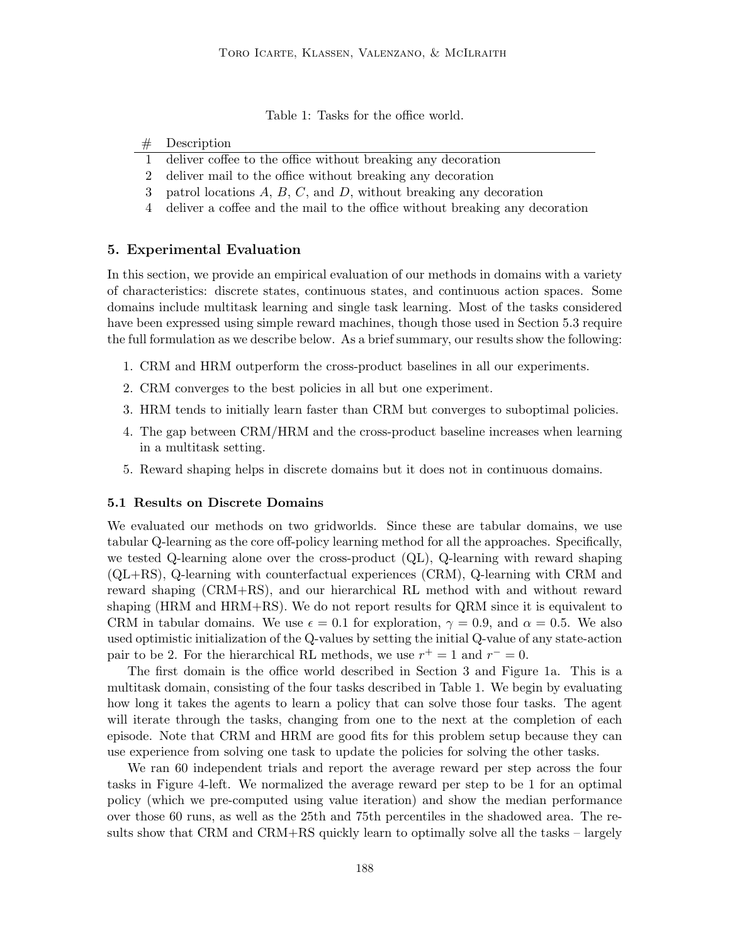Table 1: Tasks for the office world.

#### # Description

- 1 deliver coffee to the office without breaking any decoration
- 2 deliver mail to the office without breaking any decoration
- 3 patrol locations  $A, B, C$ , and  $D$ , without breaking any decoration
- 4 deliver a coffee and the mail to the office without breaking any decoration

# 5. Experimental Evaluation

In this section, we provide an empirical evaluation of our methods in domains with a variety of characteristics: discrete states, continuous states, and continuous action spaces. Some domains include multitask learning and single task learning. Most of the tasks considered have been expressed using simple reward machines, though those used in Section 5.3 require the full formulation as we describe below. As a brief summary, our results show the following:

- 1. CRM and HRM outperform the cross-product baselines in all our experiments.
- 2. CRM converges to the best policies in all but one experiment.
- 3. HRM tends to initially learn faster than CRM but converges to suboptimal policies.
- 4. The gap between CRM/HRM and the cross-product baseline increases when learning in a multitask setting.
- 5. Reward shaping helps in discrete domains but it does not in continuous domains.

# 5.1 Results on Discrete Domains

We evaluated our methods on two gridworlds. Since these are tabular domains, we use tabular Q-learning as the core off-policy learning method for all the approaches. Specifically, we tested Q-learning alone over the cross-product (QL), Q-learning with reward shaping (QL+RS), Q-learning with counterfactual experiences (CRM), Q-learning with CRM and reward shaping (CRM+RS), and our hierarchical RL method with and without reward shaping (HRM and HRM+RS). We do not report results for QRM since it is equivalent to CRM in tabular domains. We use  $\epsilon = 0.1$  for exploration,  $\gamma = 0.9$ , and  $\alpha = 0.5$ . We also used optimistic initialization of the Q-values by setting the initial Q-value of any state-action pair to be 2. For the hierarchical RL methods, we use  $r^+ = 1$  and  $r^- = 0$ .

The first domain is the office world described in Section 3 and Figure 1a. This is a multitask domain, consisting of the four tasks described in Table 1. We begin by evaluating how long it takes the agents to learn a policy that can solve those four tasks. The agent will iterate through the tasks, changing from one to the next at the completion of each episode. Note that CRM and HRM are good fits for this problem setup because they can use experience from solving one task to update the policies for solving the other tasks.

We ran 60 independent trials and report the average reward per step across the four tasks in Figure 4-left. We normalized the average reward per step to be 1 for an optimal policy (which we pre-computed using value iteration) and show the median performance over those 60 runs, as well as the 25th and 75th percentiles in the shadowed area. The results show that CRM and CRM+RS quickly learn to optimally solve all the tasks – largely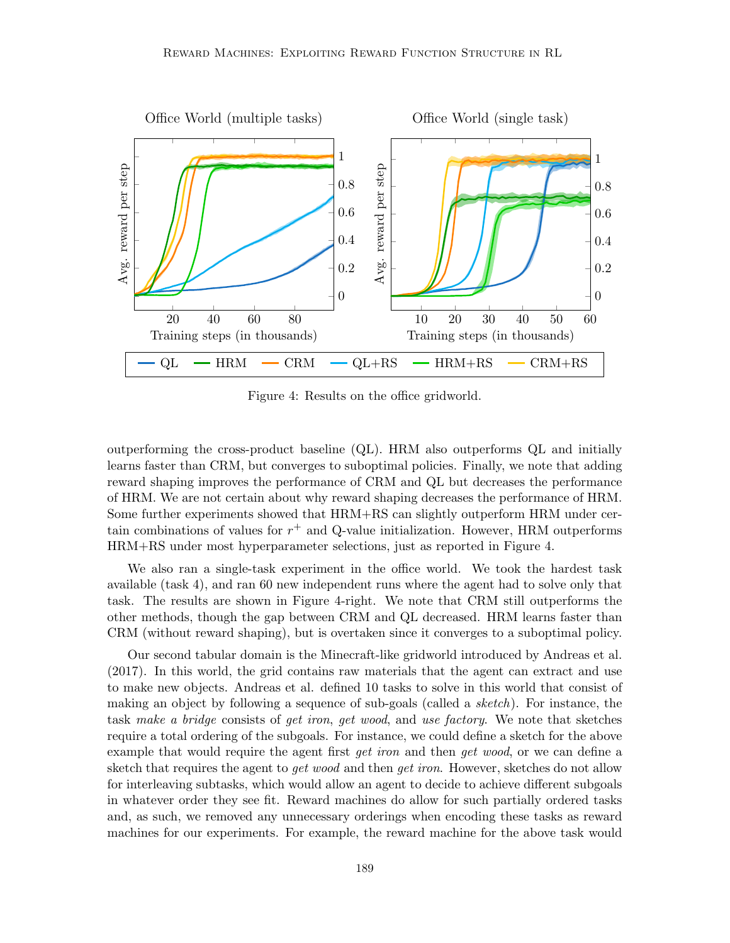

Figure 4: Results on the office gridworld.

outperforming the cross-product baseline (QL). HRM also outperforms QL and initially learns faster than CRM, but converges to suboptimal policies. Finally, we note that adding reward shaping improves the performance of CRM and QL but decreases the performance of HRM. We are not certain about why reward shaping decreases the performance of HRM. Some further experiments showed that HRM+RS can slightly outperform HRM under certain combinations of values for  $r^{+}$  and Q-value initialization. However, HRM outperforms HRM+RS under most hyperparameter selections, just as reported in Figure 4.

We also ran a single-task experiment in the office world. We took the hardest task available (task 4), and ran 60 new independent runs where the agent had to solve only that task. The results are shown in Figure 4-right. We note that CRM still outperforms the other methods, though the gap between CRM and QL decreased. HRM learns faster than CRM (without reward shaping), but is overtaken since it converges to a suboptimal policy.

Our second tabular domain is the Minecraft-like gridworld introduced by Andreas et al. (2017). In this world, the grid contains raw materials that the agent can extract and use to make new objects. Andreas et al. defined 10 tasks to solve in this world that consist of making an object by following a sequence of sub-goals (called a sketch). For instance, the task make a bridge consists of get iron, get wood, and use factory. We note that sketches require a total ordering of the subgoals. For instance, we could define a sketch for the above example that would require the agent first get iron and then get wood, or we can define a sketch that requires the agent to *get wood* and then *get iron*. However, sketches do not allow for interleaving subtasks, which would allow an agent to decide to achieve different subgoals in whatever order they see fit. Reward machines do allow for such partially ordered tasks and, as such, we removed any unnecessary orderings when encoding these tasks as reward machines for our experiments. For example, the reward machine for the above task would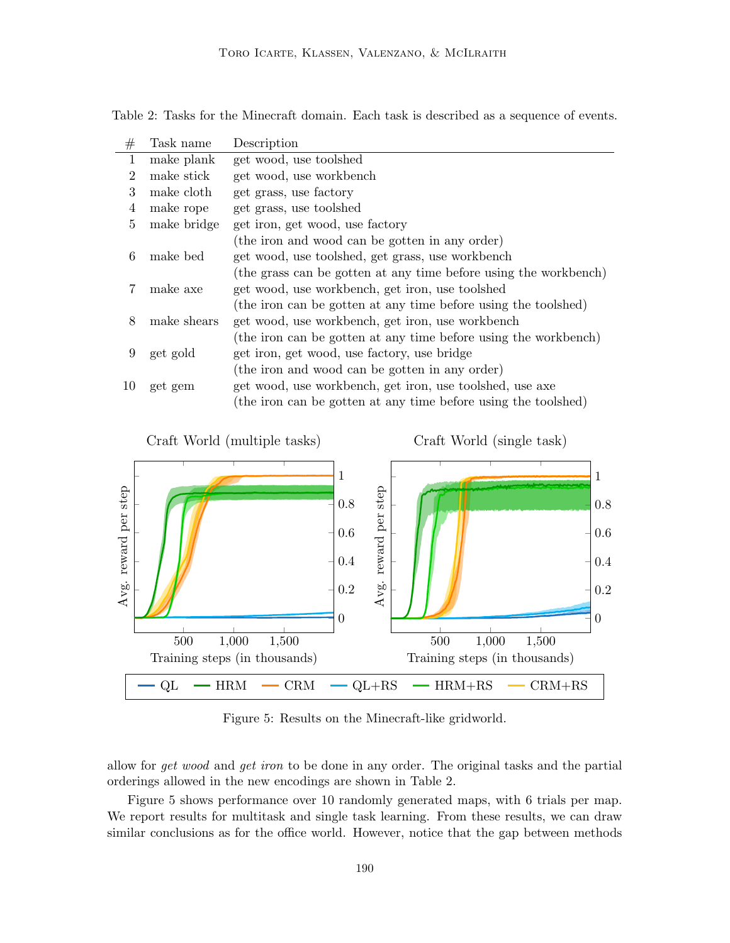Table 2: Tasks for the Minecraft domain. Each task is described as a sequence of events.

| #  | Task name   | Description                                                      |
|----|-------------|------------------------------------------------------------------|
| 1  | make plank  | get wood, use toolshed                                           |
| 2  | make stick  | get wood, use workbench                                          |
| 3  | make cloth  | get grass, use factory                                           |
| 4  | make rope   | get grass, use toolshed                                          |
| 5  | make bridge | get iron, get wood, use factory                                  |
|    |             | (the iron and wood can be gotten in any order)                   |
| 6  | make bed    | get wood, use toolshed, get grass, use workbench                 |
|    |             | (the grass can be gotten at any time before using the workbench) |
|    | make axe    | get wood, use workbench, get iron, use toolshed                  |
|    |             | (the iron can be gotten at any time before using the toolshed)   |
| 8  | make shears | get wood, use workbench, get iron, use workbench                 |
|    |             | (the iron can be gotten at any time before using the workbench)  |
| 9  | get gold    | get iron, get wood, use factory, use bridge                      |
|    |             | (the iron and wood can be gotten in any order)                   |
| 10 | get gem     | get wood, use workbench, get iron, use toolshed, use axe         |
|    |             | (the iron can be gotten at any time before using the toolshed)   |
|    |             |                                                                  |



Figure 5: Results on the Minecraft-like gridworld.

allow for get wood and get iron to be done in any order. The original tasks and the partial orderings allowed in the new encodings are shown in Table 2.

Figure 5 shows performance over 10 randomly generated maps, with 6 trials per map. We report results for multitask and single task learning. From these results, we can draw similar conclusions as for the office world. However, notice that the gap between methods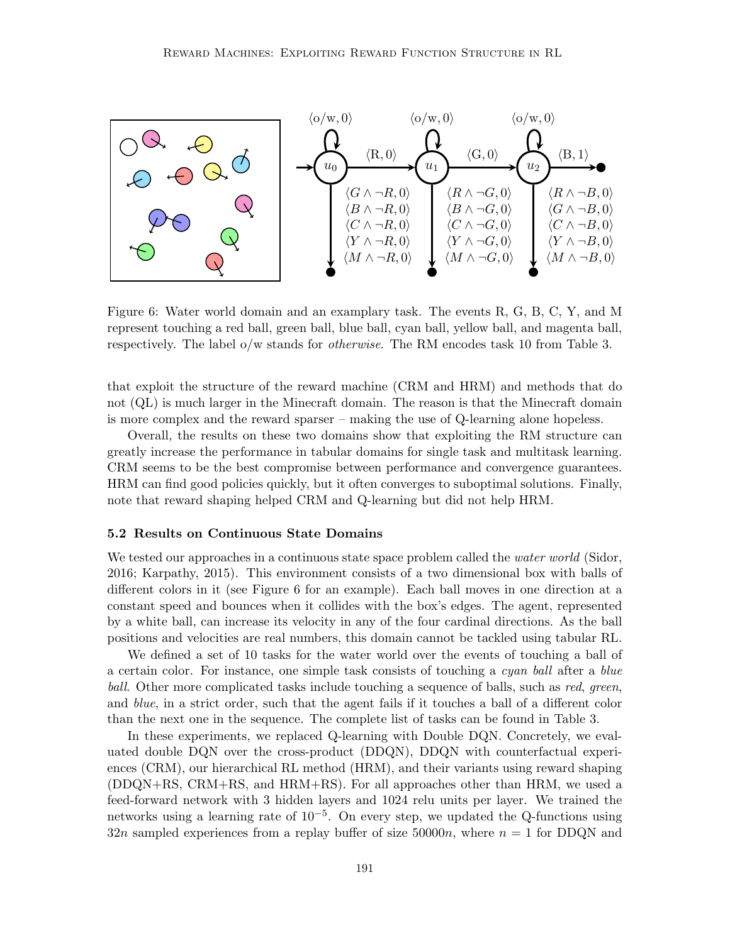

Figure 6: Water world domain and an examplary task. The events R, G, B, C, Y, and M represent touching a red ball, green ball, blue ball, cyan ball, yellow ball, and magenta ball, respectively. The label o/w stands for *otherwise*. The RM encodes task 10 from Table 3.

that exploit the structure of the reward machine (CRM and HRM) and methods that do not (QL) is much larger in the Minecraft domain. The reason is that the Minecraft domain is more complex and the reward sparser – making the use of Q-learning alone hopeless.

Overall, the results on these two domains show that exploiting the RM structure can greatly increase the performance in tabular domains for single task and multitask learning. CRM seems to be the best compromise between performance and convergence guarantees. HRM can find good policies quickly, but it often converges to suboptimal solutions. Finally, note that reward shaping helped CRM and Q-learning but did not help HRM.

#### 5.2 Results on Continuous State Domains

We tested our approaches in a continuous state space problem called the *water world* (Sidor, 2016; Karpathy, 2015). This environment consists of a two dimensional box with balls of different colors in it (see Figure 6 for an example). Each ball moves in one direction at a constant speed and bounces when it collides with the box's edges. The agent, represented by a white ball, can increase its velocity in any of the four cardinal directions. As the ball positions and velocities are real numbers, this domain cannot be tackled using tabular RL.

We defined a set of 10 tasks for the water world over the events of touching a ball of a certain color. For instance, one simple task consists of touching a cyan ball after a blue ball. Other more complicated tasks include touching a sequence of balls, such as red, green, and blue, in a strict order, such that the agent fails if it touches a ball of a different color than the next one in the sequence. The complete list of tasks can be found in Table 3.

In these experiments, we replaced Q-learning with Double DQN. Concretely, we evaluated double DQN over the cross-product (DDQN), DDQN with counterfactual experiences (CRM), our hierarchical RL method (HRM), and their variants using reward shaping (DDQN+RS, CRM+RS, and HRM+RS). For all approaches other than HRM, we used a feed-forward network with 3 hidden layers and 1024 relu units per layer. We trained the networks using a learning rate of 10<sup>-5</sup>. On every step, we updated the Q-functions using 32n sampled experiences from a replay buffer of size 50000n, where  $n = 1$  for DDQN and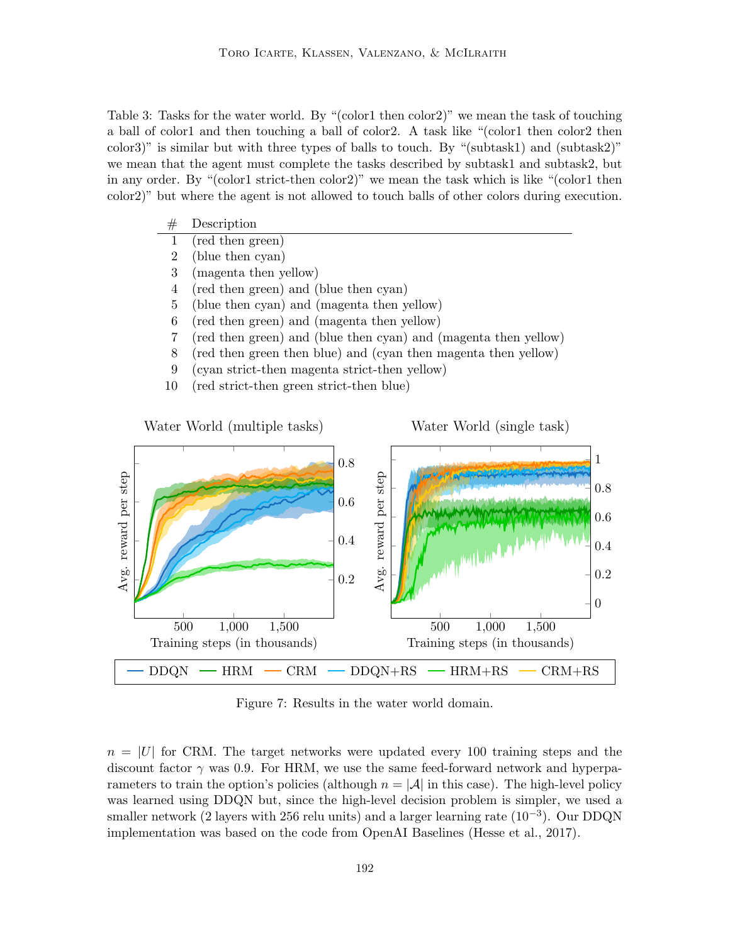Table 3: Tasks for the water world. By "(color1 then color2)" we mean the task of touching a ball of color1 and then touching a ball of color2. A task like "(color1 then color2 then color3)" is similar but with three types of balls to touch. By "(subtask1) and (subtask2)" we mean that the agent must complete the tasks described by subtask1 and subtask2, but in any order. By "(color1 strict-then color2)" we mean the task which is like "(color1 then color2)" but where the agent is not allowed to touch balls of other colors during execution.

# Description 1 (red then green) 2 (blue then cyan) 3 (magenta then yellow) 4 (red then green) and (blue then cyan) 5 (blue then cyan) and (magenta then yellow) 6 (red then green) and (magenta then yellow) 7 (red then green) and (blue then cyan) and (magenta then yellow) 8 (red then green then blue) and (cyan then magenta then yellow) 9 (cyan strict-then magenta strict-then yellow) 10 (red strict-then green strict-then blue) Water World (multiple tasks) Water World (single task) 0.8 reward per step Avg. reward per step 0.6



 $DDQN$  – HRM – CRM –  $DDQN+RS$  – HRM+RS – CRM+RS

Avg.

500 1,000 1,500

Training steps (in thousands)

0

0.2

0.4

0.6

0.8

1

0.2

0.4

500 1,000 1,500

Avg. reward per step

Avg. reward per step

Training steps (in thousands)

 $n = |U|$  for CRM. The target networks were updated every 100 training steps and the discount factor  $\gamma$  was 0.9. For HRM, we use the same feed-forward network and hyperparameters to train the option's policies (although  $n = |\mathcal{A}|$  in this case). The high-level policy was learned using DDQN but, since the high-level decision problem is simpler, we used a smaller network (2 layers with 256 relu units) and a larger learning rate (10<sup>-3</sup>). Our DDQN implementation was based on the code from OpenAI Baselines (Hesse et al., 2017).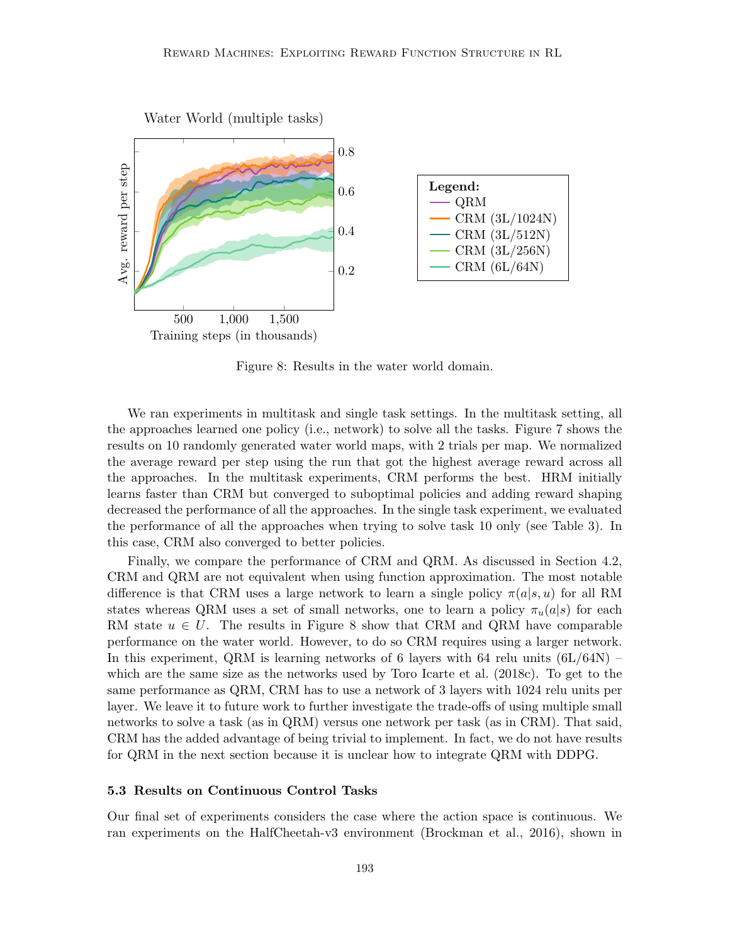

Figure 8: Results in the water world domain.

We ran experiments in multitask and single task settings. In the multitask setting, all the approaches learned one policy (i.e., network) to solve all the tasks. Figure 7 shows the results on 10 randomly generated water world maps, with 2 trials per map. We normalized the average reward per step using the run that got the highest average reward across all the approaches. In the multitask experiments, CRM performs the best. HRM initially learns faster than CRM but converged to suboptimal policies and adding reward shaping decreased the performance of all the approaches. In the single task experiment, we evaluated the performance of all the approaches when trying to solve task 10 only (see Table 3). In this case, CRM also converged to better policies.

Finally, we compare the performance of CRM and QRM. As discussed in Section 4.2, CRM and QRM are not equivalent when using function approximation. The most notable difference is that CRM uses a large network to learn a single policy  $\pi(a|s, u)$  for all RM states whereas QRM uses a set of small networks, one to learn a policy  $\pi_u(a|s)$  for each RM state  $u \in U$ . The results in Figure 8 show that CRM and QRM have comparable performance on the water world. However, to do so CRM requires using a larger network. In this experiment, QRM is learning networks of 6 layers with 64 relu units  $(6L/64N)$  – which are the same size as the networks used by Toro Icarte et al. (2018c). To get to the same performance as QRM, CRM has to use a network of 3 layers with 1024 relu units per layer. We leave it to future work to further investigate the trade-offs of using multiple small networks to solve a task (as in QRM) versus one network per task (as in CRM). That said, CRM has the added advantage of being trivial to implement. In fact, we do not have results for QRM in the next section because it is unclear how to integrate QRM with DDPG.

#### 5.3 Results on Continuous Control Tasks

Our final set of experiments considers the case where the action space is continuous. We ran experiments on the HalfCheetah-v3 environment (Brockman et al., 2016), shown in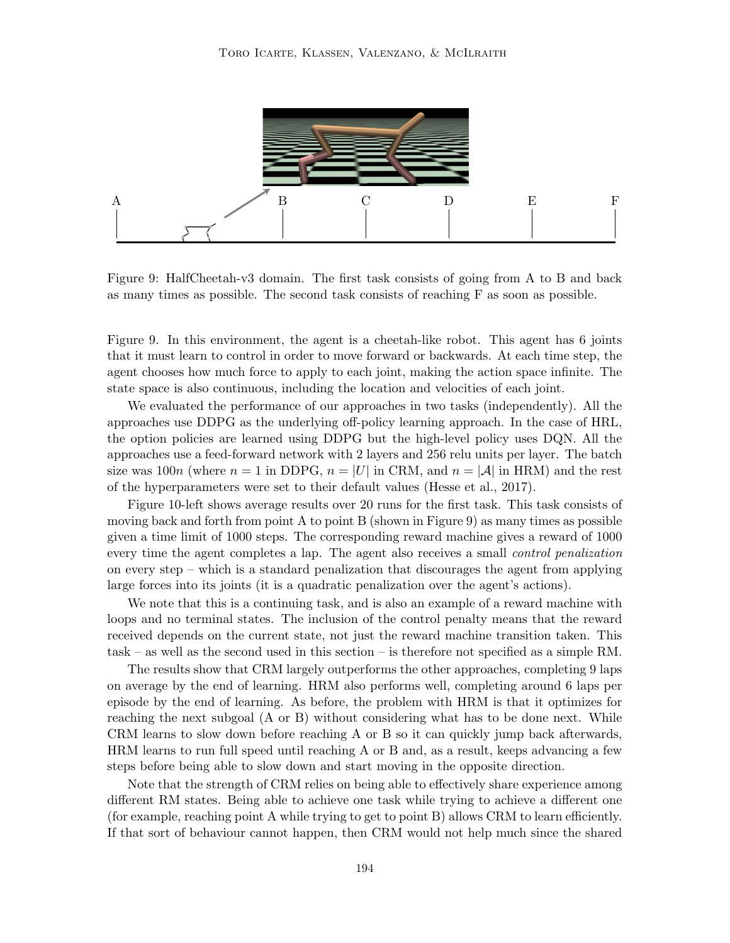

Figure 9: HalfCheetah-v3 domain. The first task consists of going from A to B and back as many times as possible. The second task consists of reaching F as soon as possible.

Figure 9. In this environment, the agent is a cheetah-like robot. This agent has 6 joints that it must learn to control in order to move forward or backwards. At each time step, the agent chooses how much force to apply to each joint, making the action space infinite. The state space is also continuous, including the location and velocities of each joint.

We evaluated the performance of our approaches in two tasks (independently). All the approaches use DDPG as the underlying off-policy learning approach. In the case of HRL, the option policies are learned using DDPG but the high-level policy uses DQN. All the approaches use a feed-forward network with 2 layers and 256 relu units per layer. The batch size was 100n (where  $n = 1$  in DDPG,  $n = |U|$  in CRM, and  $n = |A|$  in HRM) and the rest of the hyperparameters were set to their default values (Hesse et al., 2017).

Figure 10-left shows average results over 20 runs for the first task. This task consists of moving back and forth from point A to point B (shown in Figure 9) as many times as possible given a time limit of 1000 steps. The corresponding reward machine gives a reward of 1000 every time the agent completes a lap. The agent also receives a small *control penalization* on every step – which is a standard penalization that discourages the agent from applying large forces into its joints (it is a quadratic penalization over the agent's actions).

We note that this is a continuing task, and is also an example of a reward machine with loops and no terminal states. The inclusion of the control penalty means that the reward received depends on the current state, not just the reward machine transition taken. This task – as well as the second used in this section – is therefore not specified as a simple RM.

The results show that CRM largely outperforms the other approaches, completing 9 laps on average by the end of learning. HRM also performs well, completing around 6 laps per episode by the end of learning. As before, the problem with HRM is that it optimizes for reaching the next subgoal (A or B) without considering what has to be done next. While CRM learns to slow down before reaching A or B so it can quickly jump back afterwards, HRM learns to run full speed until reaching A or B and, as a result, keeps advancing a few steps before being able to slow down and start moving in the opposite direction.

Note that the strength of CRM relies on being able to effectively share experience among different RM states. Being able to achieve one task while trying to achieve a different one (for example, reaching point A while trying to get to point B) allows CRM to learn efficiently. If that sort of behaviour cannot happen, then CRM would not help much since the shared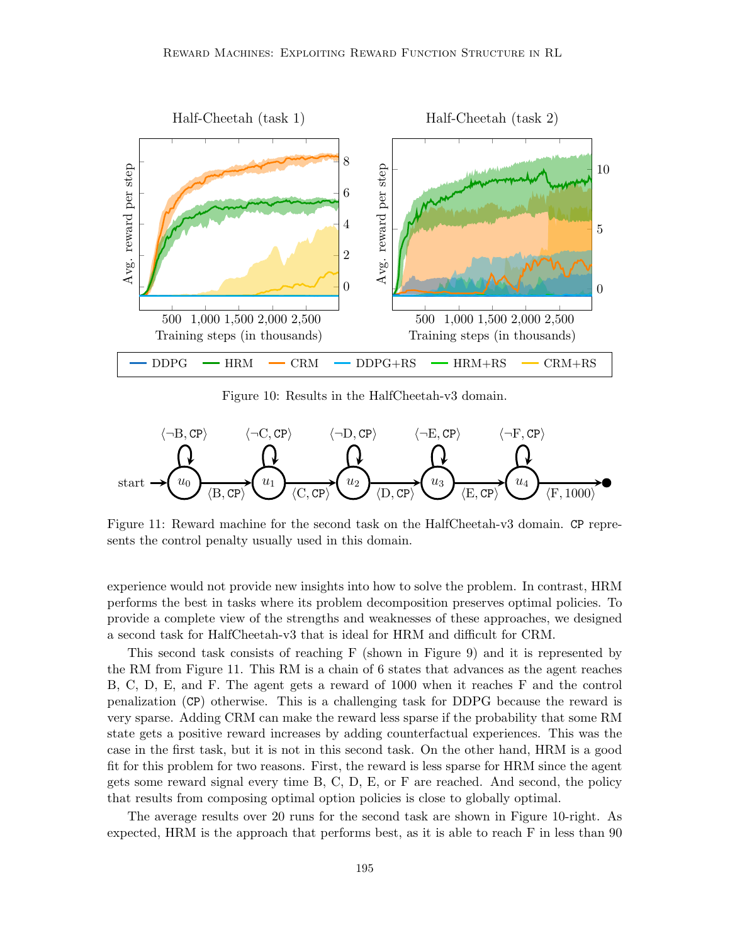

Figure 10: Results in the HalfCheetah-v3 domain.

$$
\langle \neg B, CP \rangle \qquad \langle \neg C, CP \rangle \qquad \langle \neg D, CP \rangle \qquad \langle \neg E, CP \rangle \qquad \langle \neg F, CP \rangle
$$
\n
$$
\longrightarrow \text{start} \longrightarrow \text{tr}(u_0) \qquad \text{tr}(u_1) \qquad \text{tr}(u_2) \qquad \text{tr}(u_3) \qquad \text{tr}(u_4) \qquad \text{tr}(v_5, 1000) \qquad \text{tr}(v_5, 1000) \qquad \text{tr}(v_6, 1000) \qquad \text{tr}(v_7, 1000) \qquad \text{tr}(v_7, 1000) \qquad \text{tr}(v_7, 1000) \qquad \text{tr}(v_7, 1000) \qquad \text{tr}(v_7, 1000) \qquad \text{tr}(v_7, 1000) \qquad \text{tr}(v_7, 1000) \qquad \text{tr}(v_7, 1000) \qquad \text{tr}(v_7, 1000) \qquad \text{tr}(v_7, 1000) \qquad \text{tr}(v_7, 1000) \qquad \text{tr}(v_7, 1000) \qquad \text{tr}(v_7, 1000) \qquad \text{tr}(v_7, 1000) \qquad \text{tr}(v_7, 1000) \qquad \text{tr}(v_7, 1000) \qquad \text{tr}(v_7, 1000) \qquad \text{tr}(v_7, 1000) \qquad \text{tr}(v_7, 1000) \qquad \text{tr}(v_7, 1000) \qquad \text{tr}(v_7, 1000) \qquad \text{tr}(v_7, 1000) \qquad \text{tr}(v_7, 1000) \qquad \text{tr}(v_7, 1000) \qquad \text{tr}(v_7, 1000) \qquad \text{tr}(v_7, 1000) \qquad \text{tr}(v_7, 1000) \qquad \text{tr}(v_7, 1000) \qquad \text{tr}(v_7, 1000) \qquad \text{tr}(v_7, 1000) \qquad \text{tr}(v_7, 1000) \qquad \text{tr}(v_7, 100
$$

Figure 11: Reward machine for the second task on the HalfCheetah-v3 domain. CP represents the control penalty usually used in this domain.

experience would not provide new insights into how to solve the problem. In contrast, HRM performs the best in tasks where its problem decomposition preserves optimal policies. To provide a complete view of the strengths and weaknesses of these approaches, we designed a second task for HalfCheetah-v3 that is ideal for HRM and difficult for CRM.

This second task consists of reaching F (shown in Figure 9) and it is represented by the RM from Figure 11. This RM is a chain of 6 states that advances as the agent reaches B, C, D, E, and F. The agent gets a reward of 1000 when it reaches F and the control penalization (CP) otherwise. This is a challenging task for DDPG because the reward is very sparse. Adding CRM can make the reward less sparse if the probability that some RM state gets a positive reward increases by adding counterfactual experiences. This was the case in the first task, but it is not in this second task. On the other hand, HRM is a good fit for this problem for two reasons. First, the reward is less sparse for HRM since the agent gets some reward signal every time B, C, D, E, or F are reached. And second, the policy that results from composing optimal option policies is close to globally optimal.

The average results over 20 runs for the second task are shown in Figure 10-right. As expected, HRM is the approach that performs best, as it is able to reach F in less than 90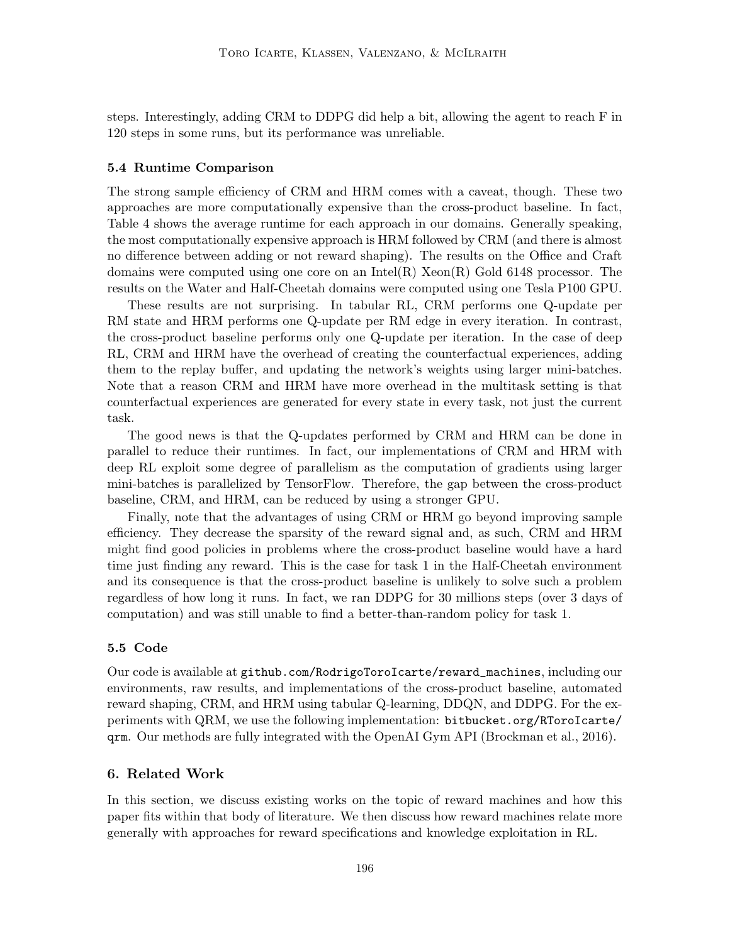steps. Interestingly, adding CRM to DDPG did help a bit, allowing the agent to reach F in 120 steps in some runs, but its performance was unreliable.

#### 5.4 Runtime Comparison

The strong sample efficiency of CRM and HRM comes with a caveat, though. These two approaches are more computationally expensive than the cross-product baseline. In fact, Table 4 shows the average runtime for each approach in our domains. Generally speaking, the most computationally expensive approach is HRM followed by CRM (and there is almost no difference between adding or not reward shaping). The results on the Office and Craft domains were computed using one core on an Intel(R) Xeon(R) Gold 6148 processor. The results on the Water and Half-Cheetah domains were computed using one Tesla P100 GPU.

These results are not surprising. In tabular RL, CRM performs one Q-update per RM state and HRM performs one Q-update per RM edge in every iteration. In contrast, the cross-product baseline performs only one Q-update per iteration. In the case of deep RL, CRM and HRM have the overhead of creating the counterfactual experiences, adding them to the replay buffer, and updating the network's weights using larger mini-batches. Note that a reason CRM and HRM have more overhead in the multitask setting is that counterfactual experiences are generated for every state in every task, not just the current task.

The good news is that the Q-updates performed by CRM and HRM can be done in parallel to reduce their runtimes. In fact, our implementations of CRM and HRM with deep RL exploit some degree of parallelism as the computation of gradients using larger mini-batches is parallelized by TensorFlow. Therefore, the gap between the cross-product baseline, CRM, and HRM, can be reduced by using a stronger GPU.

Finally, note that the advantages of using CRM or HRM go beyond improving sample efficiency. They decrease the sparsity of the reward signal and, as such, CRM and HRM might find good policies in problems where the cross-product baseline would have a hard time just finding any reward. This is the case for task 1 in the Half-Cheetah environment and its consequence is that the cross-product baseline is unlikely to solve such a problem regardless of how long it runs. In fact, we ran DDPG for 30 millions steps (over 3 days of computation) and was still unable to find a better-than-random policy for task 1.

# 5.5 Code

Our code is available at github.com/RodrigoToroIcarte/reward\_machines, including our environments, raw results, and implementations of the cross-product baseline, automated reward shaping, CRM, and HRM using tabular Q-learning, DDQN, and DDPG. For the experiments with QRM, we use the following implementation: bitbucket.org/RToroIcarte/ qrm. Our methods are fully integrated with the OpenAI Gym API (Brockman et al., 2016).

# 6. Related Work

In this section, we discuss existing works on the topic of reward machines and how this paper fits within that body of literature. We then discuss how reward machines relate more generally with approaches for reward specifications and knowledge exploitation in RL.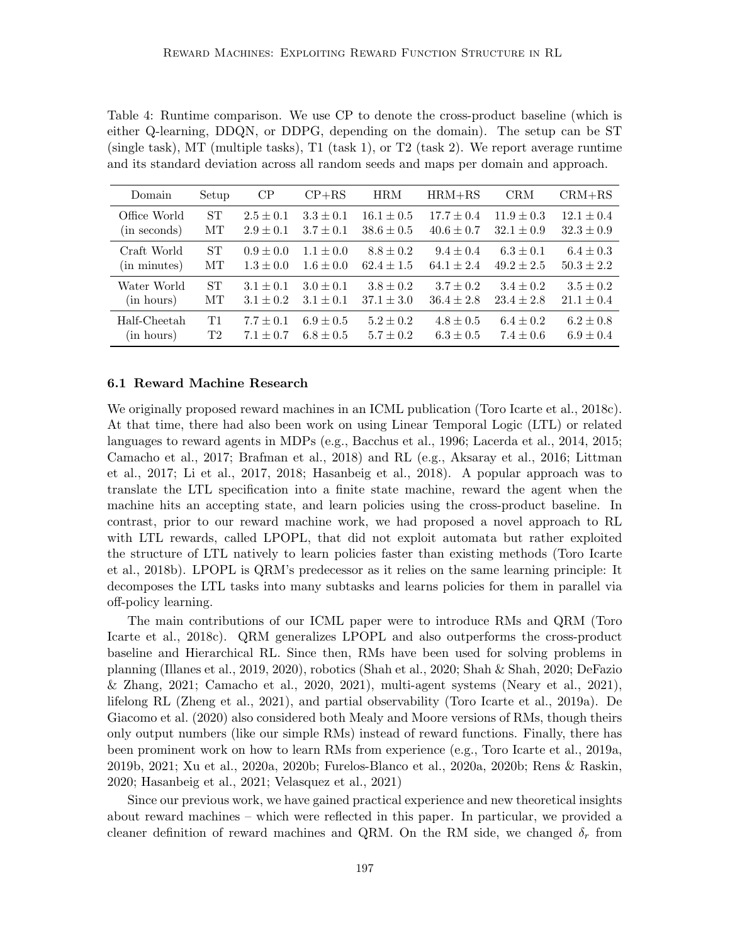Table 4: Runtime comparison. We use CP to denote the cross-product baseline (which is either Q-learning, DDQN, or DDPG, depending on the domain). The setup can be ST (single task), MT (multiple tasks), T1 (task 1), or T2 (task 2). We report average runtime and its standard deviation across all random seeds and maps per domain and approach.

| Domain       | Setup          | CP            | $CP+RS$       | <b>HRM</b>     | $HRM+RS$       | <b>CRM</b>     | $CRM+RS$       |
|--------------|----------------|---------------|---------------|----------------|----------------|----------------|----------------|
| Office World | <b>ST</b>      | $2.5 \pm 0.1$ | $3.3 \pm 0.1$ | $16.1 \pm 0.5$ | $17.7 \pm 0.4$ | $11.9 \pm 0.3$ | $12.1 \pm 0.4$ |
| (in seconds) | MТ             | $2.9 \pm 0.1$ | $3.7 \pm 0.1$ | $38.6 \pm 0.5$ | $40.6 \pm 0.7$ | $32.1 \pm 0.9$ | $32.3 \pm 0.9$ |
| Craft World  | <b>ST</b>      | $0.9 \pm 0.0$ | $1.1 \pm 0.0$ | $8.8 \pm 0.2$  | $9.4 \pm 0.4$  | $6.3 \pm 0.1$  | $6.4 \pm 0.3$  |
| (in minutes) | МT             | $1.3 \pm 0.0$ | $1.6 \pm 0.0$ | $62.4 \pm 1.5$ | $64.1 \pm 2.4$ | $49.2 \pm 2.5$ | $50.3 \pm 2.2$ |
| Water World  | <b>ST</b>      | $3.1 \pm 0.1$ | $3.0 \pm 0.1$ | $3.8 \pm 0.2$  | $3.7 \pm 0.2$  | $3.4 \pm 0.2$  | $3.5 \pm 0.2$  |
| (in hours)   | MТ             | $3.1 \pm 0.2$ | $3.1 \pm 0.1$ | $37.1 \pm 3.0$ | $36.4 \pm 2.8$ | $23.4 \pm 2.8$ | $21.1 \pm 0.4$ |
| Half-Cheetah | T1             | $7.7 \pm 0.1$ | $6.9 \pm 0.5$ | $5.2 \pm 0.2$  | $4.8 \pm 0.5$  | $6.4 \pm 0.2$  | $6.2 \pm 0.8$  |
| (in hours)   | T <sub>2</sub> | $7.1 \pm 0.7$ | $6.8 \pm 0.5$ | $5.7 \pm 0.2$  | $6.3 \pm 0.5$  | $7.4 \pm 0.6$  | $6.9 \pm 0.4$  |

#### 6.1 Reward Machine Research

We originally proposed reward machines in an ICML publication (Toro Icarte et al., 2018c). At that time, there had also been work on using Linear Temporal Logic (LTL) or related languages to reward agents in MDPs (e.g., Bacchus et al., 1996; Lacerda et al., 2014, 2015; Camacho et al., 2017; Brafman et al., 2018) and RL (e.g., Aksaray et al., 2016; Littman et al., 2017; Li et al., 2017, 2018; Hasanbeig et al., 2018). A popular approach was to translate the LTL specification into a finite state machine, reward the agent when the machine hits an accepting state, and learn policies using the cross-product baseline. In contrast, prior to our reward machine work, we had proposed a novel approach to RL with LTL rewards, called LPOPL, that did not exploit automata but rather exploited the structure of LTL natively to learn policies faster than existing methods (Toro Icarte et al., 2018b). LPOPL is QRM's predecessor as it relies on the same learning principle: It decomposes the LTL tasks into many subtasks and learns policies for them in parallel via off-policy learning.

The main contributions of our ICML paper were to introduce RMs and QRM (Toro Icarte et al., 2018c). QRM generalizes LPOPL and also outperforms the cross-product baseline and Hierarchical RL. Since then, RMs have been used for solving problems in planning (Illanes et al., 2019, 2020), robotics (Shah et al., 2020; Shah & Shah, 2020; DeFazio & Zhang, 2021; Camacho et al., 2020, 2021), multi-agent systems (Neary et al., 2021), lifelong RL (Zheng et al., 2021), and partial observability (Toro Icarte et al., 2019a). De Giacomo et al. (2020) also considered both Mealy and Moore versions of RMs, though theirs only output numbers (like our simple RMs) instead of reward functions. Finally, there has been prominent work on how to learn RMs from experience (e.g., Toro Icarte et al., 2019a, 2019b, 2021; Xu et al., 2020a, 2020b; Furelos-Blanco et al., 2020a, 2020b; Rens & Raskin, 2020; Hasanbeig et al., 2021; Velasquez et al., 2021)

Since our previous work, we have gained practical experience and new theoretical insights about reward machines – which were reflected in this paper. In particular, we provided a cleaner definition of reward machines and QRM. On the RM side, we changed  $\delta_r$  from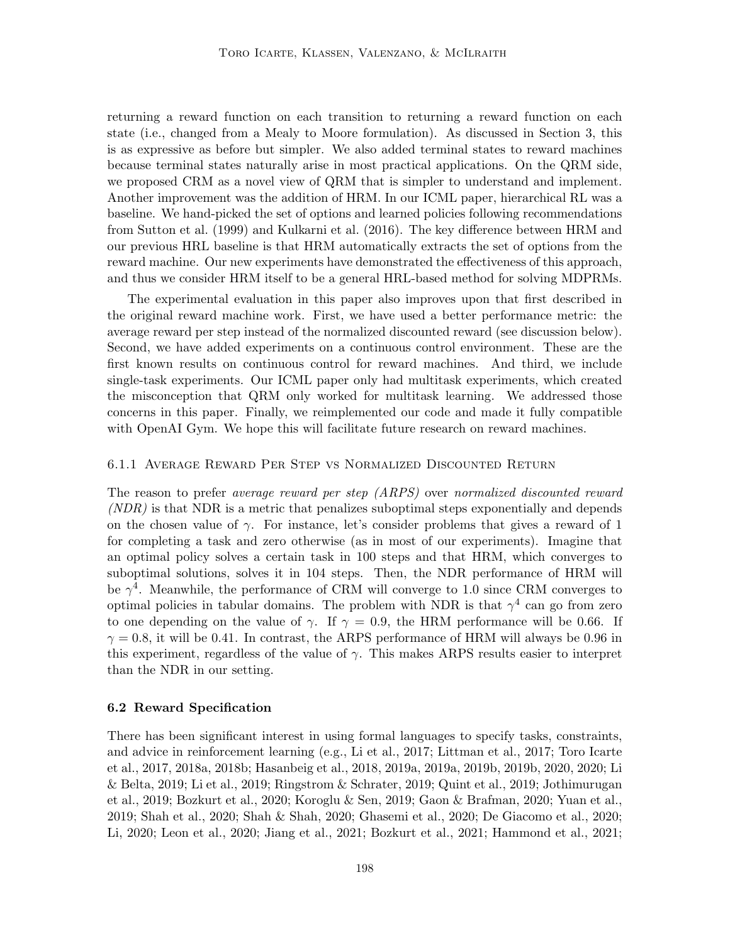returning a reward function on each transition to returning a reward function on each state (i.e., changed from a Mealy to Moore formulation). As discussed in Section 3, this is as expressive as before but simpler. We also added terminal states to reward machines because terminal states naturally arise in most practical applications. On the QRM side, we proposed CRM as a novel view of QRM that is simpler to understand and implement. Another improvement was the addition of HRM. In our ICML paper, hierarchical RL was a baseline. We hand-picked the set of options and learned policies following recommendations from Sutton et al. (1999) and Kulkarni et al. (2016). The key difference between HRM and our previous HRL baseline is that HRM automatically extracts the set of options from the reward machine. Our new experiments have demonstrated the effectiveness of this approach, and thus we consider HRM itself to be a general HRL-based method for solving MDPRMs.

The experimental evaluation in this paper also improves upon that first described in the original reward machine work. First, we have used a better performance metric: the average reward per step instead of the normalized discounted reward (see discussion below). Second, we have added experiments on a continuous control environment. These are the first known results on continuous control for reward machines. And third, we include single-task experiments. Our ICML paper only had multitask experiments, which created the misconception that QRM only worked for multitask learning. We addressed those concerns in this paper. Finally, we reimplemented our code and made it fully compatible with OpenAI Gym. We hope this will facilitate future research on reward machines.

#### 6.1.1 Average Reward Per Step vs Normalized Discounted Return

The reason to prefer average reward per step (ARPS) over normalized discounted reward (NDR) is that NDR is a metric that penalizes suboptimal steps exponentially and depends on the chosen value of  $\gamma$ . For instance, let's consider problems that gives a reward of 1 for completing a task and zero otherwise (as in most of our experiments). Imagine that an optimal policy solves a certain task in 100 steps and that HRM, which converges to suboptimal solutions, solves it in 104 steps. Then, the NDR performance of HRM will be  $\gamma^4$ . Meanwhile, the performance of CRM will converge to 1.0 since CRM converges to optimal policies in tabular domains. The problem with NDR is that  $\gamma^4$  can go from zero to one depending on the value of  $\gamma$ . If  $\gamma = 0.9$ , the HRM performance will be 0.66. If  $\gamma = 0.8$ , it will be 0.41. In contrast, the ARPS performance of HRM will always be 0.96 in this experiment, regardless of the value of  $\gamma$ . This makes ARPS results easier to interpret than the NDR in our setting.

#### 6.2 Reward Specification

There has been significant interest in using formal languages to specify tasks, constraints, and advice in reinforcement learning (e.g., Li et al., 2017; Littman et al., 2017; Toro Icarte et al., 2017, 2018a, 2018b; Hasanbeig et al., 2018, 2019a, 2019a, 2019b, 2019b, 2020, 2020; Li & Belta, 2019; Li et al., 2019; Ringstrom & Schrater, 2019; Quint et al., 2019; Jothimurugan et al., 2019; Bozkurt et al., 2020; Koroglu & Sen, 2019; Gaon & Brafman, 2020; Yuan et al., 2019; Shah et al., 2020; Shah & Shah, 2020; Ghasemi et al., 2020; De Giacomo et al., 2020; Li, 2020; Leon et al., 2020; Jiang et al., 2021; Bozkurt et al., 2021; Hammond et al., 2021;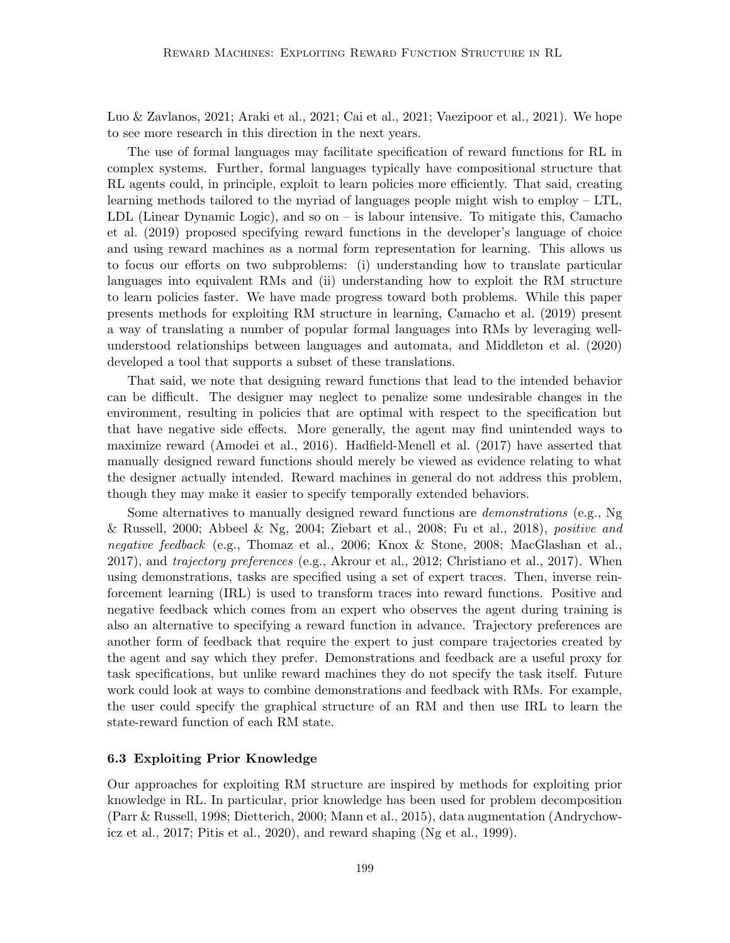Luo & Zavlanos, 2021; Araki et al., 2021; Cai et al., 2021; Vaezipoor et al., 2021). We hope to see more research in this direction in the next years.

The use of formal languages may facilitate specification of reward functions for RL in complex systems. Further, formal languages typically have compositional structure that RL agents could, in principle, exploit to learn policies more efficiently. That said, creating learning methods tailored to the myriad of languages people might wish to employ – LTL, LDL (Linear Dynamic Logic), and so on – is labour intensive. To mitigate this, Camacho et al. (2019) proposed specifying reward functions in the developer's language of choice and using reward machines as a normal form representation for learning. This allows us to focus our efforts on two subproblems: (i) understanding how to translate particular languages into equivalent RMs and (ii) understanding how to exploit the RM structure to learn policies faster. We have made progress toward both problems. While this paper presents methods for exploiting RM structure in learning, Camacho et al. (2019) present a way of translating a number of popular formal languages into RMs by leveraging wellunderstood relationships between languages and automata, and Middleton et al. (2020) developed a tool that supports a subset of these translations.

That said, we note that designing reward functions that lead to the intended behavior can be difficult. The designer may neglect to penalize some undesirable changes in the environment, resulting in policies that are optimal with respect to the specification but that have negative side effects. More generally, the agent may find unintended ways to maximize reward (Amodei et al., 2016). Hadfield-Menell et al. (2017) have asserted that manually designed reward functions should merely be viewed as evidence relating to what the designer actually intended. Reward machines in general do not address this problem, though they may make it easier to specify temporally extended behaviors.

Some alternatives to manually designed reward functions are demonstrations (e.g., Ng  $\&$  Russell, 2000; Abbeel  $\&$  Ng, 2004; Ziebart et al., 2008; Fu et al., 2018), positive and negative feedback (e.g., Thomaz et al., 2006; Knox & Stone, 2008; MacGlashan et al., 2017), and trajectory preferences (e.g., Akrour et al., 2012; Christiano et al., 2017). When using demonstrations, tasks are specified using a set of expert traces. Then, inverse reinforcement learning (IRL) is used to transform traces into reward functions. Positive and negative feedback which comes from an expert who observes the agent during training is also an alternative to specifying a reward function in advance. Trajectory preferences are another form of feedback that require the expert to just compare trajectories created by the agent and say which they prefer. Demonstrations and feedback are a useful proxy for task specifications, but unlike reward machines they do not specify the task itself. Future work could look at ways to combine demonstrations and feedback with RMs. For example, the user could specify the graphical structure of an RM and then use IRL to learn the state-reward function of each RM state.

# 6.3 Exploiting Prior Knowledge

Our approaches for exploiting RM structure are inspired by methods for exploiting prior knowledge in RL. In particular, prior knowledge has been used for problem decomposition (Parr & Russell, 1998; Dietterich, 2000; Mann et al., 2015), data augmentation (Andrychowicz et al., 2017; Pitis et al., 2020), and reward shaping (Ng et al., 1999).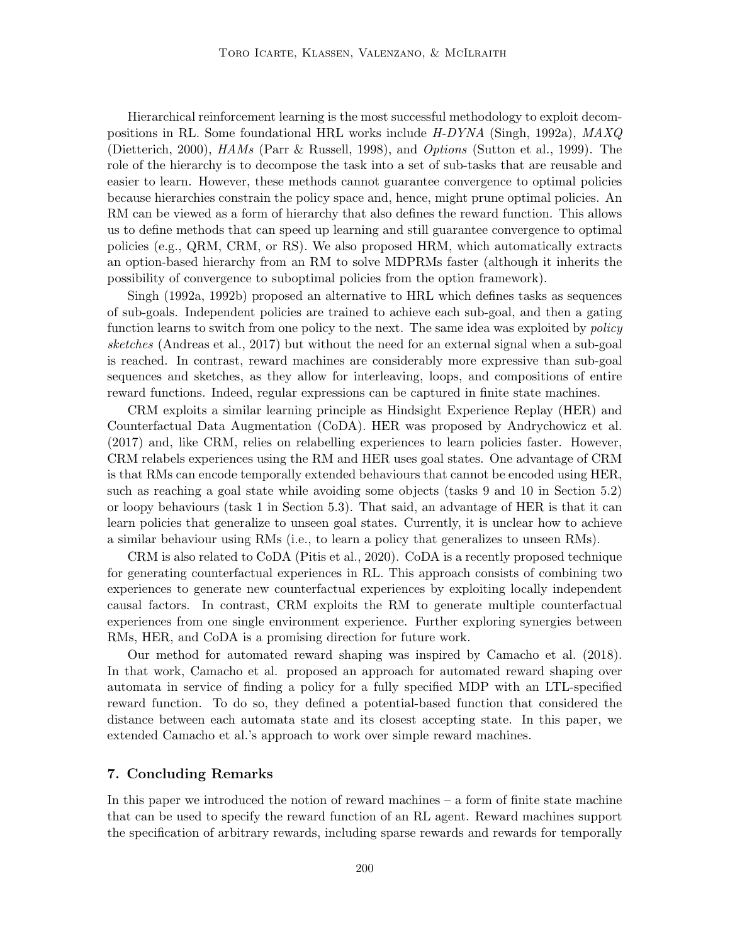Hierarchical reinforcement learning is the most successful methodology to exploit decompositions in RL. Some foundational HRL works include H-DYNA (Singh, 1992a), MAXQ (Dietterich, 2000), HAMs (Parr & Russell, 1998), and Options (Sutton et al., 1999). The role of the hierarchy is to decompose the task into a set of sub-tasks that are reusable and easier to learn. However, these methods cannot guarantee convergence to optimal policies because hierarchies constrain the policy space and, hence, might prune optimal policies. An RM can be viewed as a form of hierarchy that also defines the reward function. This allows us to define methods that can speed up learning and still guarantee convergence to optimal policies (e.g., QRM, CRM, or RS). We also proposed HRM, which automatically extracts an option-based hierarchy from an RM to solve MDPRMs faster (although it inherits the possibility of convergence to suboptimal policies from the option framework).

Singh (1992a, 1992b) proposed an alternative to HRL which defines tasks as sequences of sub-goals. Independent policies are trained to achieve each sub-goal, and then a gating function learns to switch from one policy to the next. The same idea was exploited by *policy* sketches (Andreas et al., 2017) but without the need for an external signal when a sub-goal is reached. In contrast, reward machines are considerably more expressive than sub-goal sequences and sketches, as they allow for interleaving, loops, and compositions of entire reward functions. Indeed, regular expressions can be captured in finite state machines.

CRM exploits a similar learning principle as Hindsight Experience Replay (HER) and Counterfactual Data Augmentation (CoDA). HER was proposed by Andrychowicz et al. (2017) and, like CRM, relies on relabelling experiences to learn policies faster. However, CRM relabels experiences using the RM and HER uses goal states. One advantage of CRM is that RMs can encode temporally extended behaviours that cannot be encoded using HER, such as reaching a goal state while avoiding some objects (tasks 9 and 10 in Section 5.2) or loopy behaviours (task 1 in Section 5.3). That said, an advantage of HER is that it can learn policies that generalize to unseen goal states. Currently, it is unclear how to achieve a similar behaviour using RMs (i.e., to learn a policy that generalizes to unseen RMs).

CRM is also related to CoDA (Pitis et al., 2020). CoDA is a recently proposed technique for generating counterfactual experiences in RL. This approach consists of combining two experiences to generate new counterfactual experiences by exploiting locally independent causal factors. In contrast, CRM exploits the RM to generate multiple counterfactual experiences from one single environment experience. Further exploring synergies between RMs, HER, and CoDA is a promising direction for future work.

Our method for automated reward shaping was inspired by Camacho et al. (2018). In that work, Camacho et al. proposed an approach for automated reward shaping over automata in service of finding a policy for a fully specified MDP with an LTL-specified reward function. To do so, they defined a potential-based function that considered the distance between each automata state and its closest accepting state. In this paper, we extended Camacho et al.'s approach to work over simple reward machines.

# 7. Concluding Remarks

In this paper we introduced the notion of reward machines – a form of finite state machine that can be used to specify the reward function of an RL agent. Reward machines support the specification of arbitrary rewards, including sparse rewards and rewards for temporally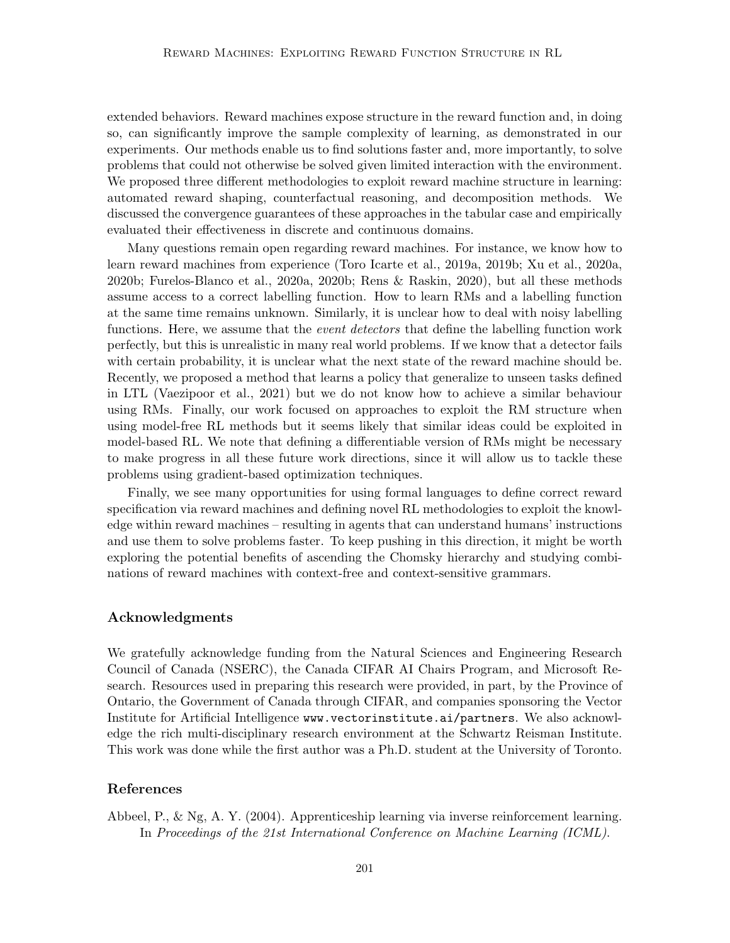extended behaviors. Reward machines expose structure in the reward function and, in doing so, can significantly improve the sample complexity of learning, as demonstrated in our experiments. Our methods enable us to find solutions faster and, more importantly, to solve problems that could not otherwise be solved given limited interaction with the environment. We proposed three different methodologies to exploit reward machine structure in learning: automated reward shaping, counterfactual reasoning, and decomposition methods. We discussed the convergence guarantees of these approaches in the tabular case and empirically evaluated their effectiveness in discrete and continuous domains.

Many questions remain open regarding reward machines. For instance, we know how to learn reward machines from experience (Toro Icarte et al., 2019a, 2019b; Xu et al., 2020a, 2020b; Furelos-Blanco et al., 2020a, 2020b; Rens & Raskin, 2020), but all these methods assume access to a correct labelling function. How to learn RMs and a labelling function at the same time remains unknown. Similarly, it is unclear how to deal with noisy labelling functions. Here, we assume that the *event detectors* that define the labelling function work perfectly, but this is unrealistic in many real world problems. If we know that a detector fails with certain probability, it is unclear what the next state of the reward machine should be. Recently, we proposed a method that learns a policy that generalize to unseen tasks defined in LTL (Vaezipoor et al., 2021) but we do not know how to achieve a similar behaviour using RMs. Finally, our work focused on approaches to exploit the RM structure when using model-free RL methods but it seems likely that similar ideas could be exploited in model-based RL. We note that defining a differentiable version of RMs might be necessary to make progress in all these future work directions, since it will allow us to tackle these problems using gradient-based optimization techniques.

Finally, we see many opportunities for using formal languages to define correct reward specification via reward machines and defining novel RL methodologies to exploit the knowledge within reward machines – resulting in agents that can understand humans' instructions and use them to solve problems faster. To keep pushing in this direction, it might be worth exploring the potential benefits of ascending the Chomsky hierarchy and studying combinations of reward machines with context-free and context-sensitive grammars.

# Acknowledgments

We gratefully acknowledge funding from the Natural Sciences and Engineering Research Council of Canada (NSERC), the Canada CIFAR AI Chairs Program, and Microsoft Research. Resources used in preparing this research were provided, in part, by the Province of Ontario, the Government of Canada through CIFAR, and companies sponsoring the Vector Institute for Artificial Intelligence www.vectorinstitute.ai/partners. We also acknowledge the rich multi-disciplinary research environment at the Schwartz Reisman Institute. This work was done while the first author was a Ph.D. student at the University of Toronto.

# References

Abbeel, P., & Ng, A. Y. (2004). Apprenticeship learning via inverse reinforcement learning. In Proceedings of the 21st International Conference on Machine Learning (ICML).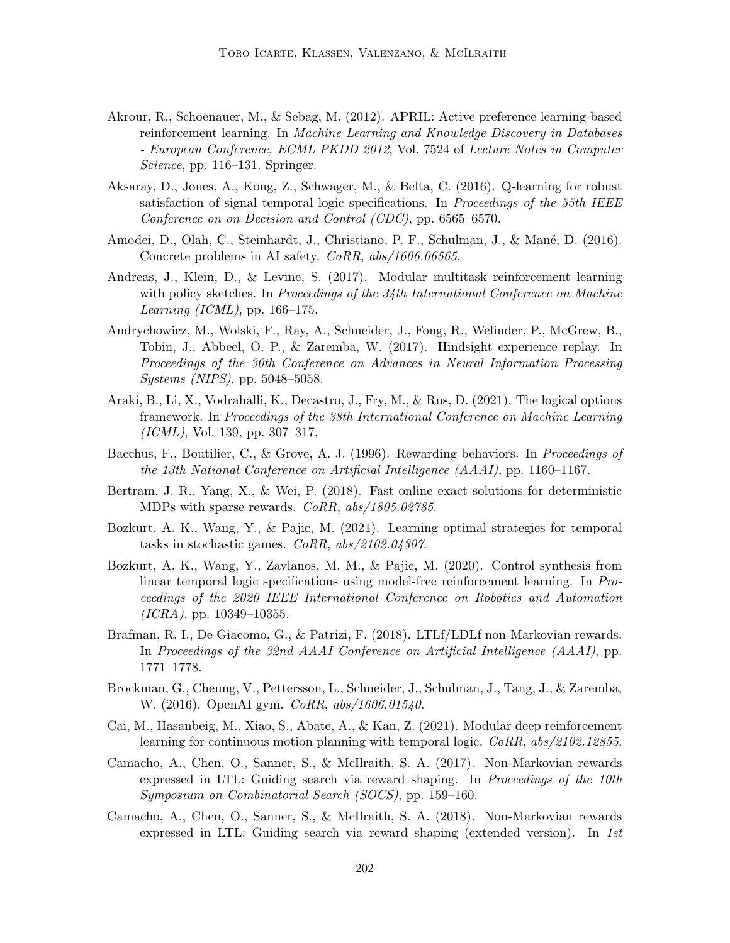- Akrour, R., Schoenauer, M., & Sebag, M. (2012). APRIL: Active preference learning-based reinforcement learning. In Machine Learning and Knowledge Discovery in Databases - European Conference, ECML PKDD 2012, Vol. 7524 of Lecture Notes in Computer Science, pp. 116–131. Springer.
- Aksaray, D., Jones, A., Kong, Z., Schwager, M., & Belta, C. (2016). Q-learning for robust satisfaction of signal temporal logic specifications. In *Proceedings of the 55th IEEE* Conference on on Decision and Control (CDC), pp. 6565–6570.
- Amodei, D., Olah, C., Steinhardt, J., Christiano, P. F., Schulman, J., & Mané, D. (2016). Concrete problems in AI safety. CoRR, abs/1606.06565.
- Andreas, J., Klein, D., & Levine, S. (2017). Modular multitask reinforcement learning with policy sketches. In Proceedings of the 34th International Conference on Machine Learning (ICML), pp. 166–175.
- Andrychowicz, M., Wolski, F., Ray, A., Schneider, J., Fong, R., Welinder, P., McGrew, B., Tobin, J., Abbeel, O. P., & Zaremba, W. (2017). Hindsight experience replay. In Proceedings of the 30th Conference on Advances in Neural Information Processing Systems (NIPS), pp. 5048–5058.
- Araki, B., Li, X., Vodrahalli, K., Decastro, J., Fry, M., & Rus, D. (2021). The logical options framework. In Proceedings of the 38th International Conference on Machine Learning  $(ICML)$ , Vol. 139, pp. 307–317.
- Bacchus, F., Boutilier, C., & Grove, A. J. (1996). Rewarding behaviors. In Proceedings of the 13th National Conference on Artificial Intelligence (AAAI), pp. 1160–1167.
- Bertram, J. R., Yang, X., & Wei, P. (2018). Fast online exact solutions for deterministic MDPs with sparse rewards. CoRR, abs/1805.02785.
- Bozkurt, A. K., Wang, Y., & Pajic, M. (2021). Learning optimal strategies for temporal tasks in stochastic games. CoRR, abs/2102.04307.
- Bozkurt, A. K., Wang, Y., Zavlanos, M. M., & Pajic, M. (2020). Control synthesis from linear temporal logic specifications using model-free reinforcement learning. In Proceedings of the 2020 IEEE International Conference on Robotics and Automation  $(ICRA)$ , pp. 10349–10355.
- Brafman, R. I., De Giacomo, G., & Patrizi, F. (2018). LTLf/LDLf non-Markovian rewards. In Proceedings of the 32nd AAAI Conference on Artificial Intelligence (AAAI), pp. 1771–1778.
- Brockman, G., Cheung, V., Pettersson, L., Schneider, J., Schulman, J., Tang, J., & Zaremba, W. (2016). OpenAI gym. *CoRR*, *abs/1606.01540*.
- Cai, M., Hasanbeig, M., Xiao, S., Abate, A., & Kan, Z. (2021). Modular deep reinforcement learning for continuous motion planning with temporal logic. CoRR,  $abs/2102.12855$ .
- Camacho, A., Chen, O., Sanner, S., & McIlraith, S. A. (2017). Non-Markovian rewards expressed in LTL: Guiding search via reward shaping. In *Proceedings of the 10th* Symposium on Combinatorial Search (SOCS), pp. 159–160.
- Camacho, A., Chen, O., Sanner, S., & McIlraith, S. A. (2018). Non-Markovian rewards expressed in LTL: Guiding search via reward shaping (extended version). In 1st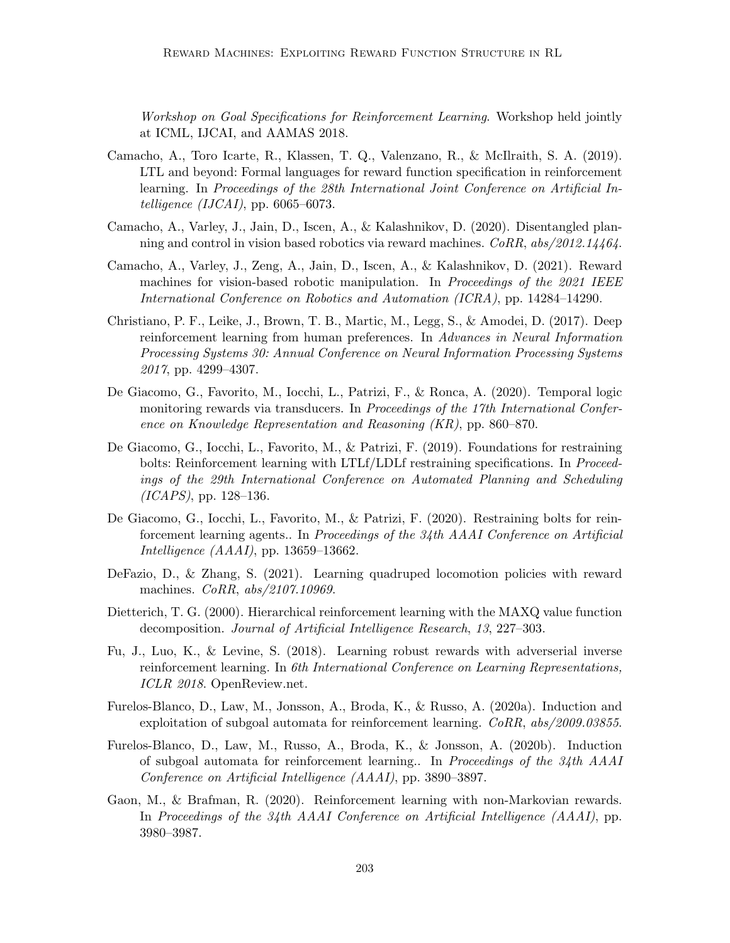Workshop on Goal Specifications for Reinforcement Learning. Workshop held jointly at ICML, IJCAI, and AAMAS 2018.

- Camacho, A., Toro Icarte, R., Klassen, T. Q., Valenzano, R., & McIlraith, S. A. (2019). LTL and beyond: Formal languages for reward function specification in reinforcement learning. In Proceedings of the 28th International Joint Conference on Artificial Intelligence  $(IJCAI)$ , pp. 6065–6073.
- Camacho, A., Varley, J., Jain, D., Iscen, A., & Kalashnikov, D. (2020). Disentangled planning and control in vision based robotics via reward machines. CoRR, abs/2012.14464.
- Camacho, A., Varley, J., Zeng, A., Jain, D., Iscen, A., & Kalashnikov, D. (2021). Reward machines for vision-based robotic manipulation. In *Proceedings of the 2021 IEEE* International Conference on Robotics and Automation (ICRA), pp. 14284–14290.
- Christiano, P. F., Leike, J., Brown, T. B., Martic, M., Legg, S., & Amodei, D. (2017). Deep reinforcement learning from human preferences. In Advances in Neural Information Processing Systems 30: Annual Conference on Neural Information Processing Systems 2017, pp. 4299–4307.
- De Giacomo, G., Favorito, M., Iocchi, L., Patrizi, F., & Ronca, A. (2020). Temporal logic monitoring rewards via transducers. In *Proceedings of the 17th International Confer*ence on Knowledge Representation and Reasoning (KR), pp. 860–870.
- De Giacomo, G., Iocchi, L., Favorito, M., & Patrizi, F. (2019). Foundations for restraining bolts: Reinforcement learning with LTLf/LDLf restraining specifications. In Proceedings of the 29th International Conference on Automated Planning and Scheduling (ICAPS), pp. 128–136.
- De Giacomo, G., Iocchi, L., Favorito, M., & Patrizi, F. (2020). Restraining bolts for reinforcement learning agents.. In Proceedings of the 34th AAAI Conference on Artificial Intelligence  $(AAAI)$ , pp. 13659–13662.
- DeFazio, D., & Zhang, S. (2021). Learning quadruped locomotion policies with reward machines. CoRR, abs/2107.10969.
- Dietterich, T. G. (2000). Hierarchical reinforcement learning with the MAXQ value function decomposition. Journal of Artificial Intelligence Research, 13, 227–303.
- Fu, J., Luo, K., & Levine, S. (2018). Learning robust rewards with adverserial inverse reinforcement learning. In 6th International Conference on Learning Representations, ICLR 2018. OpenReview.net.
- Furelos-Blanco, D., Law, M., Jonsson, A., Broda, K., & Russo, A. (2020a). Induction and exploitation of subgoal automata for reinforcement learning.  $CoRR$ ,  $abs/2009.03855$ .
- Furelos-Blanco, D., Law, M., Russo, A., Broda, K., & Jonsson, A. (2020b). Induction of subgoal automata for reinforcement learning.. In Proceedings of the 34th AAAI Conference on Artificial Intelligence (AAAI), pp. 3890–3897.
- Gaon, M., & Brafman, R. (2020). Reinforcement learning with non-Markovian rewards. In Proceedings of the 34th AAAI Conference on Artificial Intelligence (AAAI), pp. 3980–3987.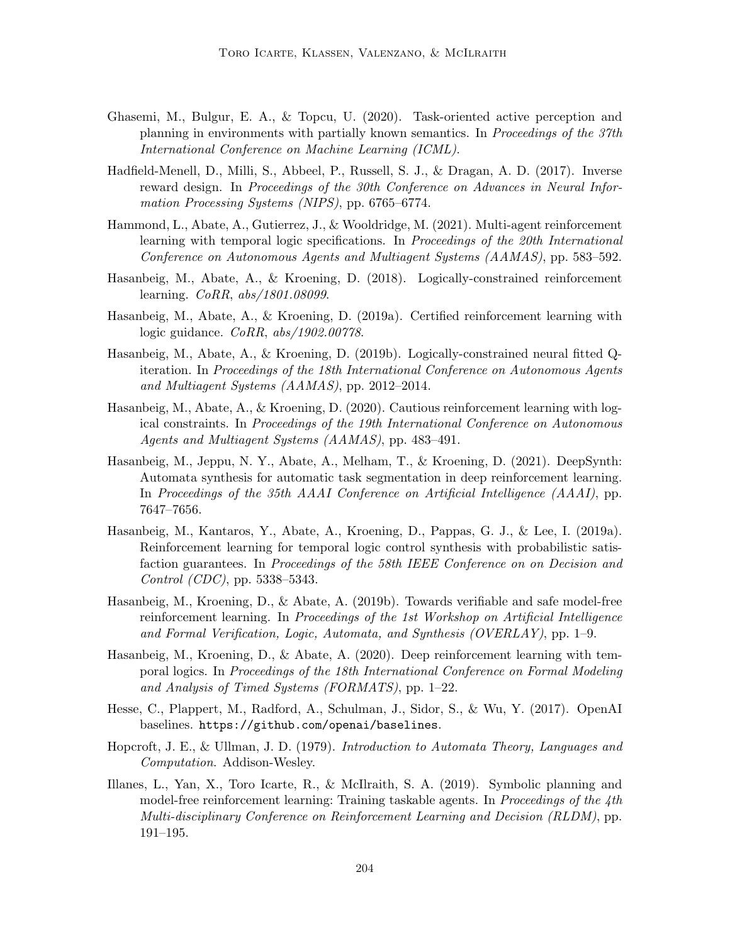- Ghasemi, M., Bulgur, E. A., & Topcu, U. (2020). Task-oriented active perception and planning in environments with partially known semantics. In Proceedings of the 37th International Conference on Machine Learning (ICML).
- Hadfield-Menell, D., Milli, S., Abbeel, P., Russell, S. J., & Dragan, A. D. (2017). Inverse reward design. In Proceedings of the 30th Conference on Advances in Neural Information Processing Systems (NIPS), pp. 6765–6774.
- Hammond, L., Abate, A., Gutierrez, J., & Wooldridge, M. (2021). Multi-agent reinforcement learning with temporal logic specifications. In Proceedings of the 20th International Conference on Autonomous Agents and Multiagent Systems (AAMAS), pp. 583–592.
- Hasanbeig, M., Abate, A., & Kroening, D. (2018). Logically-constrained reinforcement learning. CoRR, abs/1801.08099.
- Hasanbeig, M., Abate, A., & Kroening, D. (2019a). Certified reinforcement learning with logic guidance. CoRR, abs/1902.00778.
- Hasanbeig, M., Abate, A., & Kroening, D. (2019b). Logically-constrained neural fitted Qiteration. In Proceedings of the 18th International Conference on Autonomous Agents and Multiagent Systems (AAMAS), pp. 2012–2014.
- Hasanbeig, M., Abate, A., & Kroening, D. (2020). Cautious reinforcement learning with logical constraints. In Proceedings of the 19th International Conference on Autonomous Agents and Multiagent Systems (AAMAS), pp. 483–491.
- Hasanbeig, M., Jeppu, N. Y., Abate, A., Melham, T., & Kroening, D. (2021). DeepSynth: Automata synthesis for automatic task segmentation in deep reinforcement learning. In Proceedings of the 35th AAAI Conference on Artificial Intelligence (AAAI), pp. 7647–7656.
- Hasanbeig, M., Kantaros, Y., Abate, A., Kroening, D., Pappas, G. J., & Lee, I. (2019a). Reinforcement learning for temporal logic control synthesis with probabilistic satisfaction guarantees. In Proceedings of the 58th IEEE Conference on on Decision and Control (CDC), pp. 5338–5343.
- Hasanbeig, M., Kroening, D., & Abate, A. (2019b). Towards verifiable and safe model-free reinforcement learning. In Proceedings of the 1st Workshop on Artificial Intelligence and Formal Verification, Logic, Automata, and Synthesis (OVERLAY), pp. 1–9.
- Hasanbeig, M., Kroening, D., & Abate, A. (2020). Deep reinforcement learning with temporal logics. In Proceedings of the 18th International Conference on Formal Modeling and Analysis of Timed Systems (FORMATS), pp. 1–22.
- Hesse, C., Plappert, M., Radford, A., Schulman, J., Sidor, S., & Wu, Y. (2017). OpenAI baselines. https://github.com/openai/baselines.
- Hopcroft, J. E., & Ullman, J. D. (1979). Introduction to Automata Theory, Languages and Computation. Addison-Wesley.
- Illanes, L., Yan, X., Toro Icarte, R., & McIlraith, S. A. (2019). Symbolic planning and model-free reinforcement learning: Training taskable agents. In *Proceedings of the 4th* Multi-disciplinary Conference on Reinforcement Learning and Decision (RLDM), pp. 191–195.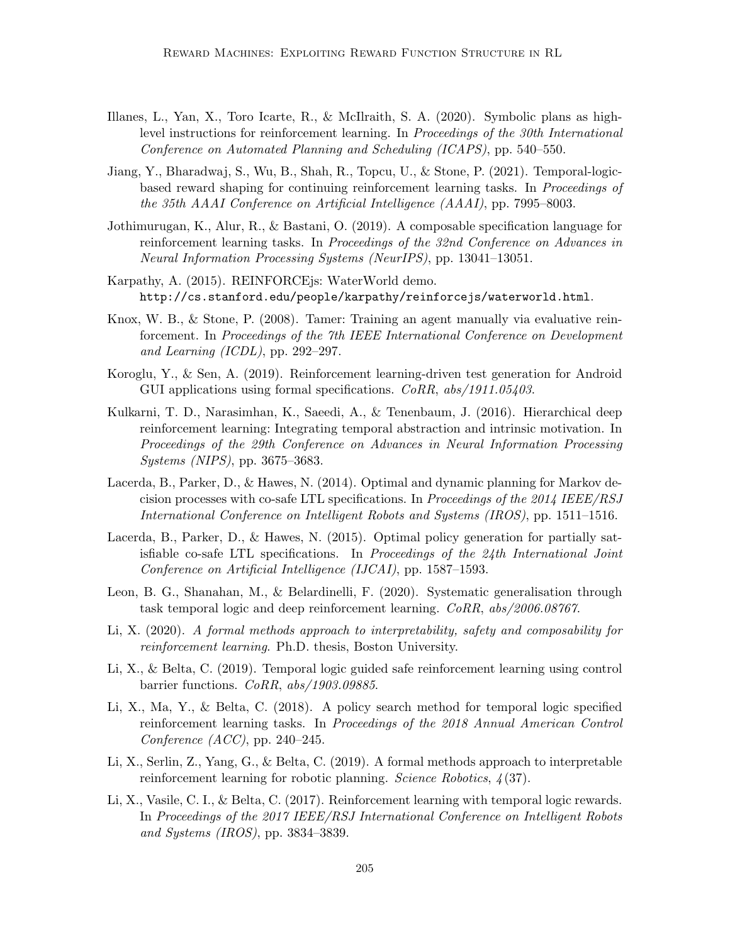- Illanes, L., Yan, X., Toro Icarte, R., & McIlraith, S. A. (2020). Symbolic plans as highlevel instructions for reinforcement learning. In Proceedings of the 30th International Conference on Automated Planning and Scheduling (ICAPS), pp. 540–550.
- Jiang, Y., Bharadwaj, S., Wu, B., Shah, R., Topcu, U., & Stone, P. (2021). Temporal-logicbased reward shaping for continuing reinforcement learning tasks. In Proceedings of the 35th AAAI Conference on Artificial Intelligence (AAAI), pp. 7995–8003.
- Jothimurugan, K., Alur, R., & Bastani, O. (2019). A composable specification language for reinforcement learning tasks. In Proceedings of the 32nd Conference on Advances in Neural Information Processing Systems (NeurIPS), pp. 13041–13051.
- Karpathy, A. (2015). REINFORCEjs: WaterWorld demo. http://cs.stanford.edu/people/karpathy/reinforcejs/waterworld.html.
- Knox, W. B., & Stone, P. (2008). Tamer: Training an agent manually via evaluative reinforcement. In Proceedings of the 7th IEEE International Conference on Development and Learning (ICDL), pp. 292–297.
- Koroglu, Y., & Sen, A. (2019). Reinforcement learning-driven test generation for Android GUI applications using formal specifications. CoRR, abs/1911.05403.
- Kulkarni, T. D., Narasimhan, K., Saeedi, A., & Tenenbaum, J. (2016). Hierarchical deep reinforcement learning: Integrating temporal abstraction and intrinsic motivation. In Proceedings of the 29th Conference on Advances in Neural Information Processing Systems (NIPS), pp. 3675–3683.
- Lacerda, B., Parker, D., & Hawes, N. (2014). Optimal and dynamic planning for Markov decision processes with co-safe LTL specifications. In Proceedings of the 2014 IEEE/RSJ International Conference on Intelligent Robots and Systems (IROS), pp. 1511–1516.
- Lacerda, B., Parker, D., & Hawes, N. (2015). Optimal policy generation for partially satisfiable co-safe LTL specifications. In Proceedings of the 24th International Joint Conference on Artificial Intelligence (IJCAI), pp. 1587–1593.
- Leon, B. G., Shanahan, M., & Belardinelli, F. (2020). Systematic generalisation through task temporal logic and deep reinforcement learning. CoRR, abs/2006.08767.
- Li, X. (2020). A formal methods approach to interpretability, safety and composability for reinforcement learning. Ph.D. thesis, Boston University.
- Li, X., & Belta, C. (2019). Temporal logic guided safe reinforcement learning using control barrier functions. CoRR, abs/1903.09885.
- Li, X., Ma, Y., & Belta, C. (2018). A policy search method for temporal logic specified reinforcement learning tasks. In Proceedings of the 2018 Annual American Control Conference (ACC), pp. 240–245.
- Li, X., Serlin, Z., Yang, G., & Belta, C. (2019). A formal methods approach to interpretable reinforcement learning for robotic planning. Science Robotics,  $\frac{1}{3}$ (37).
- Li, X., Vasile, C. I., & Belta, C. (2017). Reinforcement learning with temporal logic rewards. In Proceedings of the 2017 IEEE/RSJ International Conference on Intelligent Robots and Systems (IROS), pp. 3834–3839.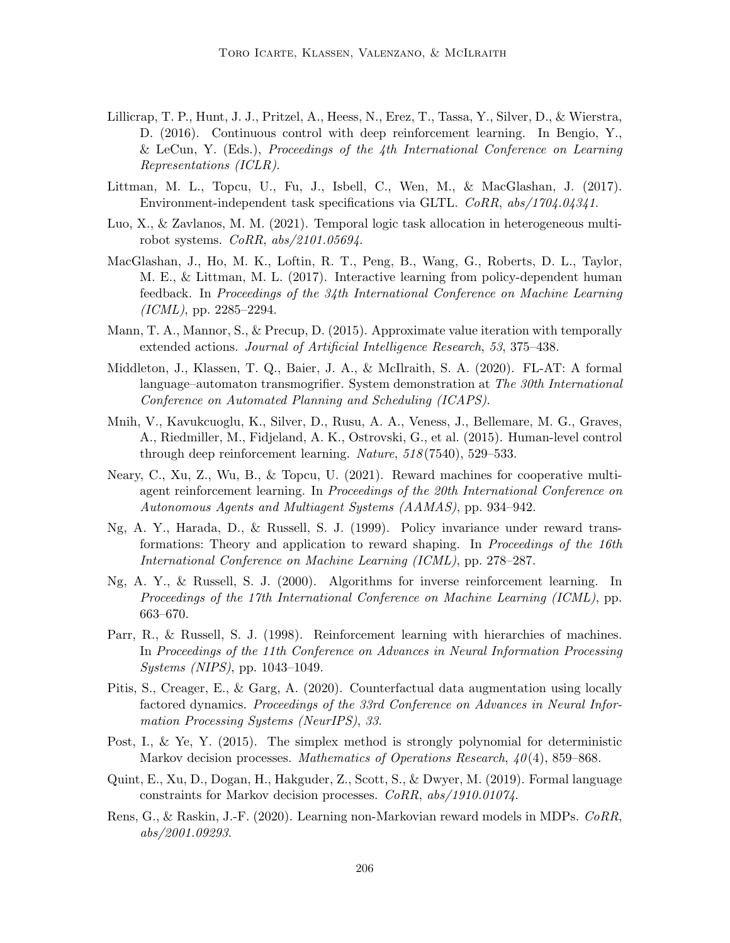- Lillicrap, T. P., Hunt, J. J., Pritzel, A., Heess, N., Erez, T., Tassa, Y., Silver, D., & Wierstra, D. (2016). Continuous control with deep reinforcement learning. In Bengio, Y., & LeCun, Y. (Eds.), Proceedings of the 4th International Conference on Learning Representations (ICLR).
- Littman, M. L., Topcu, U., Fu, J., Isbell, C., Wen, M., & MacGlashan, J. (2017). Environment-independent task specifications via GLTL. CoRR, abs/1704.04341.
- Luo, X., & Zavlanos, M. M. (2021). Temporal logic task allocation in heterogeneous multirobot systems. CoRR, abs/2101.05694.
- MacGlashan, J., Ho, M. K., Loftin, R. T., Peng, B., Wang, G., Roberts, D. L., Taylor, M. E., & Littman, M. L. (2017). Interactive learning from policy-dependent human feedback. In Proceedings of the 34th International Conference on Machine Learning  $(ICML)$ , pp. 2285–2294.
- Mann, T. A., Mannor, S., & Precup, D. (2015). Approximate value iteration with temporally extended actions. Journal of Artificial Intelligence Research, 53, 375–438.
- Middleton, J., Klassen, T. Q., Baier, J. A., & McIlraith, S. A. (2020). FL-AT: A formal language–automaton transmogrifier. System demonstration at The 30th International Conference on Automated Planning and Scheduling (ICAPS).
- Mnih, V., Kavukcuoglu, K., Silver, D., Rusu, A. A., Veness, J., Bellemare, M. G., Graves, A., Riedmiller, M., Fidjeland, A. K., Ostrovski, G., et al. (2015). Human-level control through deep reinforcement learning. Nature, 518 (7540), 529–533.
- Neary, C., Xu, Z., Wu, B., & Topcu, U. (2021). Reward machines for cooperative multiagent reinforcement learning. In Proceedings of the 20th International Conference on Autonomous Agents and Multiagent Systems (AAMAS), pp. 934–942.
- Ng, A. Y., Harada, D., & Russell, S. J. (1999). Policy invariance under reward transformations: Theory and application to reward shaping. In Proceedings of the 16th International Conference on Machine Learning (ICML), pp. 278–287.
- Ng, A. Y., & Russell, S. J. (2000). Algorithms for inverse reinforcement learning. In Proceedings of the 17th International Conference on Machine Learning (ICML), pp. 663–670.
- Parr, R., & Russell, S. J. (1998). Reinforcement learning with hierarchies of machines. In Proceedings of the 11th Conference on Advances in Neural Information Processing Systems (NIPS), pp. 1043–1049.
- Pitis, S., Creager, E., & Garg, A. (2020). Counterfactual data augmentation using locally factored dynamics. Proceedings of the 33rd Conference on Advances in Neural Information Processing Systems (NeurIPS), 33.
- Post, I., & Ye, Y. (2015). The simplex method is strongly polynomial for deterministic Markov decision processes. Mathematics of Operations Research,  $40(4)$ , 859–868.
- Quint, E., Xu, D., Dogan, H., Hakguder, Z., Scott, S., & Dwyer, M. (2019). Formal language constraints for Markov decision processes. CoRR, abs/1910.01074.
- Rens, G., & Raskin, J.-F. (2020). Learning non-Markovian reward models in MDPs. CoRR, abs/2001.09293.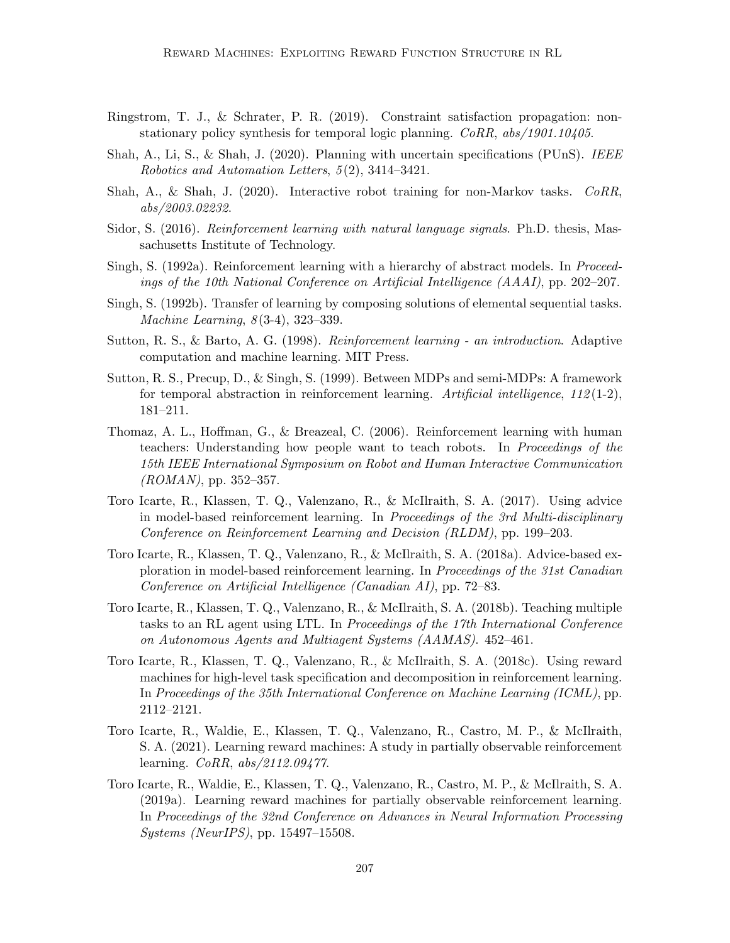- Ringstrom, T. J., & Schrater, P. R. (2019). Constraint satisfaction propagation: nonstationary policy synthesis for temporal logic planning. CoRR, abs/1901.10405.
- Shah, A., Li, S., & Shah, J. (2020). Planning with uncertain specifications (PUnS). IEEE Robotics and Automation Letters, 5 (2), 3414–3421.
- Shah, A., & Shah, J. (2020). Interactive robot training for non-Markov tasks.  $CORR$ . abs/2003.02232.
- Sidor, S. (2016). Reinforcement learning with natural language signals. Ph.D. thesis, Massachusetts Institute of Technology.
- Singh, S. (1992a). Reinforcement learning with a hierarchy of abstract models. In Proceedings of the 10th National Conference on Artificial Intelligence (AAAI), pp. 202–207.
- Singh, S. (1992b). Transfer of learning by composing solutions of elemental sequential tasks. Machine Learning, 8(3-4), 323–339.
- Sutton, R. S., & Barto, A. G. (1998). Reinforcement learning an introduction. Adaptive computation and machine learning. MIT Press.
- Sutton, R. S., Precup, D., & Singh, S. (1999). Between MDPs and semi-MDPs: A framework for temporal abstraction in reinforcement learning. Artificial intelligence,  $112(1-2)$ , 181–211.
- Thomaz, A. L., Hoffman, G., & Breazeal, C. (2006). Reinforcement learning with human teachers: Understanding how people want to teach robots. In Proceedings of the 15th IEEE International Symposium on Robot and Human Interactive Communication  $(ROMAN)$ , pp. 352–357.
- Toro Icarte, R., Klassen, T. Q., Valenzano, R., & McIlraith, S. A. (2017). Using advice in model-based reinforcement learning. In Proceedings of the 3rd Multi-disciplinary Conference on Reinforcement Learning and Decision (RLDM), pp. 199–203.
- Toro Icarte, R., Klassen, T. Q., Valenzano, R., & McIlraith, S. A. (2018a). Advice-based exploration in model-based reinforcement learning. In Proceedings of the 31st Canadian Conference on Artificial Intelligence (Canadian AI), pp. 72–83.
- Toro Icarte, R., Klassen, T. Q., Valenzano, R., & McIlraith, S. A. (2018b). Teaching multiple tasks to an RL agent using LTL. In Proceedings of the 17th International Conference on Autonomous Agents and Multiagent Systems (AAMAS). 452–461.
- Toro Icarte, R., Klassen, T. Q., Valenzano, R., & McIlraith, S. A. (2018c). Using reward machines for high-level task specification and decomposition in reinforcement learning. In Proceedings of the 35th International Conference on Machine Learning (ICML), pp. 2112–2121.
- Toro Icarte, R., Waldie, E., Klassen, T. Q., Valenzano, R., Castro, M. P., & McIlraith, S. A. (2021). Learning reward machines: A study in partially observable reinforcement learning. CoRR, abs/2112.09477.
- Toro Icarte, R., Waldie, E., Klassen, T. Q., Valenzano, R., Castro, M. P., & McIlraith, S. A. (2019a). Learning reward machines for partially observable reinforcement learning. In Proceedings of the 32nd Conference on Advances in Neural Information Processing Systems (NeurIPS), pp. 15497–15508.